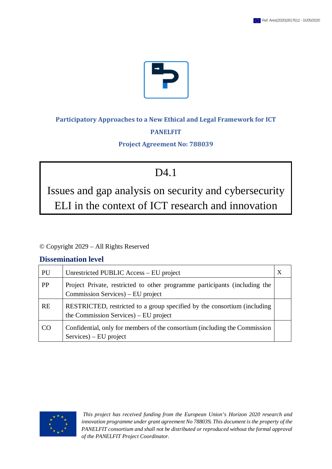

# **Participatory Approaches to a New Ethical and Legal Framework for ICT PANELFIT**

### **Project Agreement No: 788039**

# D<sub>4.1</sub>

Issues and gap analysis on security and cybersecurity ELI in the context of ICT research and innovation

© Copyright 2029 – All Rights Reserved

# **Dissemination level**

| PU        | Unrestricted PUBLIC Access – EU project                                                                           |  |
|-----------|-------------------------------------------------------------------------------------------------------------------|--|
| <b>PP</b> | Project Private, restricted to other programme participants (including the<br>Commission Services) – EU project   |  |
| <b>RE</b> | RESTRICTED, restricted to a group specified by the consortium (including<br>the Commission Services) – EU project |  |
| CO.       | Confidential, only for members of the consortium (including the Commission<br>Services) – EU project              |  |

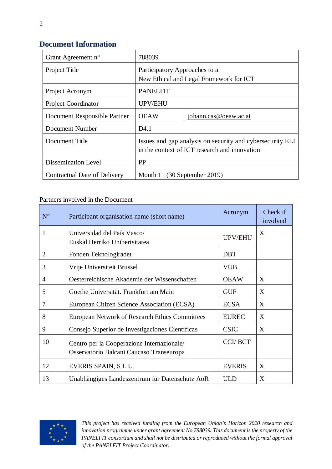# **Document Information**

| Grant Agreement n°           | 788039                                                                                                     |                       |  |
|------------------------------|------------------------------------------------------------------------------------------------------------|-----------------------|--|
| Project Title                | Participatory Approaches to a<br>New Ethical and Legal Framework for ICT                                   |                       |  |
| Project Acronym              | <b>PANELFIT</b>                                                                                            |                       |  |
| <b>Project Coordinator</b>   | <b>UPV/EHU</b>                                                                                             |                       |  |
| Document Responsible Partner | <b>OEAW</b>                                                                                                | johann.cas@oeaw.ac.at |  |
| Document Number              | D <sub>4.1</sub>                                                                                           |                       |  |
| Document Title               | Issues and gap analysis on security and cybersecurity ELI<br>in the context of ICT research and innovation |                       |  |
| <b>Dissemination Level</b>   | <b>PP</b>                                                                                                  |                       |  |
| Contractual Date of Delivery | Month 11 (30 September 2019)                                                                               |                       |  |

Partners involved in the Document

| $N^{\circ}$    | Participant organisation name (short name)                                             | Acronym        | Check if<br>involved |
|----------------|----------------------------------------------------------------------------------------|----------------|----------------------|
| 1              | Universidad del País Vasco/<br>Euskal Herriko Unibertsitatea                           | <b>UPV/EHU</b> | X                    |
| $\overline{2}$ | Fonden Teknologiradet                                                                  | <b>DBT</b>     |                      |
| 3              | Vrije Universiteit Brussel                                                             | <b>VUB</b>     |                      |
| 4              | Oesterreichische Akademie der Wissenschaften                                           | <b>OEAW</b>    | X                    |
| 5              | Goethe Universität. Frankfurt am Main                                                  | <b>GUF</b>     | X                    |
| 7              | European Citizen Science Association (ECSA)                                            | <b>ECSA</b>    | X                    |
| 8              | <b>European Network of Research Ethics Committees</b>                                  | <b>EUREC</b>   | X                    |
| 9              | Consejo Superior de Investigaciones Científicas                                        | <b>CSIC</b>    | X                    |
| 10             | Centro per la Cooperazione Internazionale/<br>Osservatorio Balcani Caucaso Transeuropa | <b>CCI/BCT</b> |                      |
| 12             | EVERIS SPAIN, S.L.U.                                                                   | <b>EVERIS</b>  | X                    |
| 13             | Unabhängiges Landeszentrum für Datenschutz AöR                                         | <b>ULD</b>     | X                    |

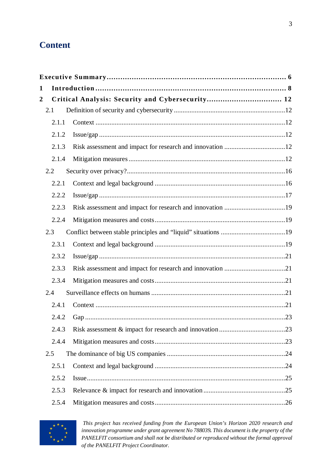# **Content**

| 2.1.1 |                                 |                                                  |
|-------|---------------------------------|--------------------------------------------------|
| 2.1.2 |                                 |                                                  |
| 2.1.3 |                                 |                                                  |
| 2.1.4 |                                 |                                                  |
|       |                                 |                                                  |
| 2.2.1 |                                 |                                                  |
| 2.2.2 |                                 |                                                  |
| 2.2.3 |                                 |                                                  |
| 2.2.4 |                                 |                                                  |
|       |                                 |                                                  |
| 2.3.1 |                                 |                                                  |
| 2.3.2 |                                 |                                                  |
| 2.3.3 |                                 |                                                  |
| 2.3.4 |                                 |                                                  |
|       |                                 |                                                  |
| 2.4.1 |                                 |                                                  |
| 2.4.2 |                                 |                                                  |
| 2.4.3 |                                 |                                                  |
| 2.4.4 |                                 |                                                  |
|       |                                 |                                                  |
| 2.5.1 |                                 |                                                  |
| 2.5.2 |                                 |                                                  |
| 2.5.3 |                                 |                                                  |
| 2.5.4 |                                 |                                                  |
|       | 2.1<br>2.2<br>2.3<br>2.4<br>2.5 | Critical Analysis: Security and Cybersecurity 12 |

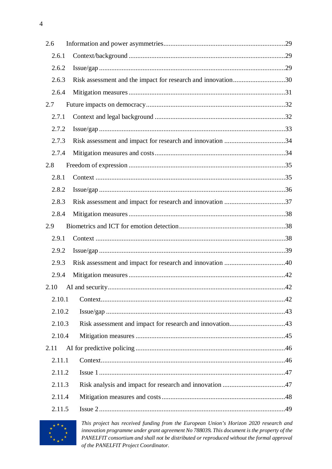| 2.6    |                                                              |     |
|--------|--------------------------------------------------------------|-----|
| 2.6.1  |                                                              |     |
| 2.6.2  |                                                              |     |
| 2.6.3  | Risk assessment and the impact for research and innovation30 |     |
| 2.6.4  |                                                              |     |
| 2.7    |                                                              |     |
| 2.7.1  |                                                              |     |
| 2.7.2  |                                                              |     |
| 2.7.3  |                                                              |     |
| 2.7.4  |                                                              |     |
| 2.8    |                                                              |     |
| 2.8.1  |                                                              |     |
| 2.8.2  |                                                              |     |
| 2.8.3  |                                                              |     |
| 2.8.4  |                                                              |     |
| 2.9    |                                                              |     |
| 2.9.1  |                                                              |     |
| 2.9.2  |                                                              |     |
| 2.9.3  |                                                              |     |
| 2.9.4  |                                                              |     |
|        | 2.10 AI and security                                         | .42 |
| 2.10.1 |                                                              |     |
| 2.10.2 |                                                              |     |
| 2.10.3 | Risk assessment and impact for research and innovation43     |     |
| 2.10.4 |                                                              |     |
| 2.11   |                                                              |     |
| 2.11.1 |                                                              |     |
| 2.11.2 |                                                              |     |
| 2.11.3 |                                                              |     |
| 2.11.4 |                                                              |     |
| 2.11.5 |                                                              |     |

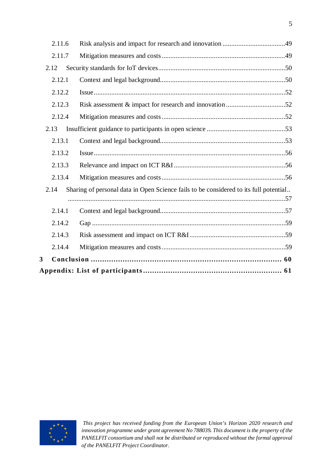|                         | 2.11.6 |                                                                                       |  |  |
|-------------------------|--------|---------------------------------------------------------------------------------------|--|--|
|                         | 2.11.7 |                                                                                       |  |  |
|                         | 2.12   |                                                                                       |  |  |
|                         | 2.12.1 |                                                                                       |  |  |
|                         | 2.12.2 |                                                                                       |  |  |
|                         | 2.12.3 |                                                                                       |  |  |
|                         | 2.12.4 |                                                                                       |  |  |
|                         | 2.13   |                                                                                       |  |  |
|                         | 2.13.1 |                                                                                       |  |  |
|                         | 2.13.2 |                                                                                       |  |  |
|                         | 2.13.3 |                                                                                       |  |  |
|                         | 2.13.4 |                                                                                       |  |  |
|                         | 2.14   | Sharing of personal data in Open Science fails to be considered to its full potential |  |  |
|                         |        |                                                                                       |  |  |
|                         | 2.14.1 |                                                                                       |  |  |
|                         | 2.14.2 |                                                                                       |  |  |
|                         | 2.14.3 |                                                                                       |  |  |
|                         | 2.14.4 |                                                                                       |  |  |
| $\overline{\mathbf{3}}$ |        |                                                                                       |  |  |
|                         |        |                                                                                       |  |  |

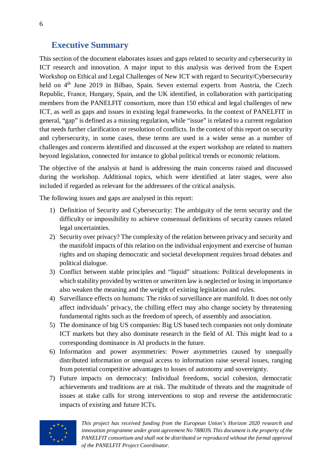# <span id="page-5-0"></span>**Executive Summary**

This section of the document elaborates issues and gaps related to security and cybersecurity in ICT research and innovation. A major input to this analysis was derived from the Expert Workshop on Ethical and Legal Challenges of New ICT with regard to Security/Cybersecurity held on 4<sup>th</sup> June 2019 in Bilbao, Spain. Seven external experts from Austria, the Czech Republic, France, Hungary, Spain, and the UK identified, in collaboration with participating members from the PANELFIT consortium, more than 150 ethical and legal challenges of new ICT, as well as gaps and issues in existing legal frameworks. In the context of PANELFIT in general, "gap" is defined as a missing regulation, while "issue" is related to a current regulation that needs further clarification or resolution of conflicts. In the context of this report on security and cybersecurity, in some cases, these terms are used in a wider sense as a number of challenges and concerns identified and discussed at the expert workshop are related to matters beyond legislation, connected for instance to global political trends or economic relations.

The objective of the analysis at hand is addressing the main concerns raised and discussed during the workshop. Additional topics, which were identified at later stages, were also included if regarded as relevant for the addressees of the critical analysis.

The following issues and gaps are analysed in this report:

- 1) Definition of Security and Cybersecurity: The ambiguity of the term security and the difficulty or impossibility to achieve consensual definitions of security causes related legal uncertainties.
- 2) Security over privacy? The complexity of the relation between privacy and security and the manifold impacts of this relation on the individual enjoyment and exercise of human rights and on shaping democratic and societal development requires broad debates and political dialogue.
- 3) Conflict between stable principles and "liquid" situations: Political developments in which stability provided by written or unwritten law is neglected or losing in importance also weaken the meaning and the weight of existing legislation and rules.
- 4) Surveillance effects on humans: The risks of surveillance are manifold. It does not only affect individuals' privacy, the chilling effect may also change society by threatening fundamental rights such as the freedom of speech, of assembly and association.
- 5) The dominance of big US companies: Big US based tech companies not only dominate ICT markets but they also dominate research in the field of AI. This might lead to a corresponding dominance in AI products in the future.
- 6) Information and power asymmetries: Power asymmetries caused by unequally distributed information or unequal access to information raise several issues, ranging from potential competitive advantages to losses of autonomy and sovereignty.
- 7) Future impacts on democracy: Individual freedoms, social cohesion, democratic achievements and traditions are at risk. The multitude of threats and the magnitude of issues at stake calls for strong interventions to stop and reverse the antidemocratic impacts of existing and future ICTs.

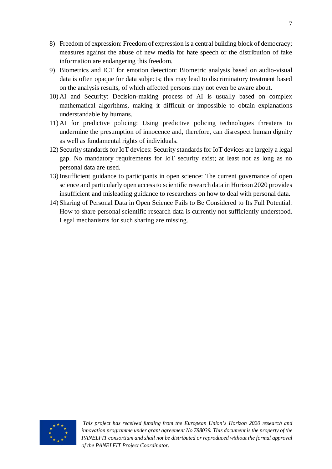- 8) Freedom of expression: Freedom of expression is a central building block of democracy; measures against the abuse of new media for hate speech or the distribution of fake information are endangering this freedom.
- 9) Biometrics and ICT for emotion detection: Biometric analysis based on audio-visual data is often opaque for data subjects; this may lead to discriminatory treatment based on the analysis results, of which affected persons may not even be aware about.
- 10) AI and Security: Decision-making process of AI is usually based on complex mathematical algorithms, making it difficult or impossible to obtain explanations understandable by humans.
- 11) AI for predictive policing: Using predictive policing technologies threatens to undermine the presumption of innocence and, therefore, can disrespect human dignity as well as fundamental rights of individuals.
- 12) Security standards for IoT devices: Security standards for IoT devices are largely a legal gap. No mandatory requirements for IoT security exist; at least not as long as no personal data are used.
- 13) Insufficient guidance to participants in open science: The current governance of open science and particularly open access to scientific research data in Horizon 2020 provides insufficient and misleading guidance to researchers on how to deal with personal data.
- 14) Sharing of Personal Data in Open Science Fails to Be Considered to Its Full Potential: How to share personal scientific research data is currently not sufficiently understood. Legal mechanisms for such sharing are missing.

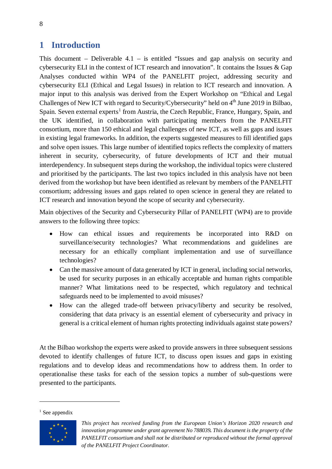# <span id="page-7-0"></span>**1 Introduction**

This document – Deliverable 4.1 – is entitled "Issues and gap analysis on security and cybersecurity ELI in the context of ICT research and innovation". It contains the Issues & Gap Analyses conducted within WP4 of the PANELFIT project, addressing security and cybersecurity ELI (Ethical and Legal Issues) in relation to ICT research and innovation. A major input to this analysis was derived from the Expert Workshop on "Ethical and Legal Challenges of New ICT with regard to Security/Cybersecurity" held on 4<sup>th</sup> June 2019 in Bilbao, Spain. Seven external experts<sup>[1](#page-7-1)</sup> from Austria, the Czech Republic, France, Hungary, Spain, and the UK identified, in collaboration with participating members from the PANELFIT consortium, more than 150 ethical and legal challenges of new ICT, as well as gaps and issues in existing legal frameworks. In addition, the experts suggested measures to fill identified gaps and solve open issues. This large number of identified topics reflects the complexity of matters inherent in security, cybersecurity, of future developments of ICT and their mutual interdependency. In subsequent steps during the workshop, the individual topics were clustered and prioritised by the participants. The last two topics included in this analysis have not been derived from the workshop but have been identified as relevant by members of the PANELFIT consortium; addressing issues and gaps related to open science in general they are related to ICT research and innovation beyond the scope of security and cybersecurity.

Main objectives of the Security and Cybersecurity Pillar of PANELFIT (WP4) are to provide answers to the following three topics:

- How can ethical issues and requirements be incorporated into R&D on surveillance/security technologies? What recommendations and guidelines are necessary for an ethically compliant implementation and use of surveillance technologies?
- Can the massive amount of data generated by ICT in general, including social networks, be used for security purposes in an ethically acceptable and human rights compatible manner? What limitations need to be respected, which regulatory and technical safeguards need to be implemented to avoid misuses?
- How can the alleged trade-off between privacy/liberty and security be resolved, considering that data privacy is an essential element of cybersecurity and privacy in general is a critical element of human rights protecting individuals against state powers?

At the Bilbao workshop the experts were asked to provide answers in three subsequent sessions devoted to identify challenges of future ICT, to discuss open issues and gaps in existing regulations and to develop ideas and recommendations how to address them. In order to operationalise these tasks for each of the session topics a number of sub-questions were presented to the participants.

<span id="page-7-1"></span>

*This project has received funding from the European Union's Horizon 2020 research and innovation programme under grant agreement No 788039. This document is the property of the PANELFIT consortium and shall not be distributed or reproduced without the formal approval of the PANELFIT Project Coordinator.*

 $<sup>1</sup>$  See appendix</sup>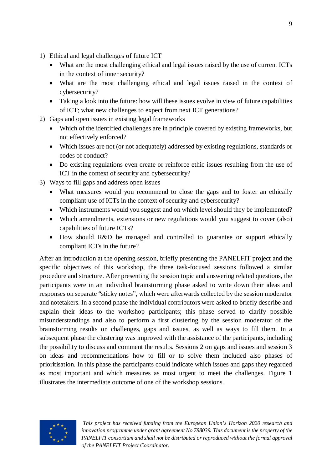- 1) Ethical and legal challenges of future ICT
	- What are the most challenging ethical and legal issues raised by the use of current ICTs in the context of inner security?
	- What are the most challenging ethical and legal issues raised in the context of cybersecurity?
	- Taking a look into the future: how will these issues evolve in view of future capabilities of ICT; what new challenges to expect from next ICT generations?
- 2) Gaps and open issues in existing legal frameworks
	- Which of the identified challenges are in principle covered by existing frameworks, but not effectively enforced?
	- Which issues are not (or not adequately) addressed by existing regulations, standards or codes of conduct?
	- Do existing regulations even create or reinforce ethic issues resulting from the use of ICT in the context of security and cybersecurity?
- 3) Ways to fill gaps and address open issues
	- What measures would you recommend to close the gaps and to foster an ethically compliant use of ICTs in the context of security and cybersecurity?
	- Which instruments would you suggest and on which level should they be implemented?
	- Which amendments, extensions or new regulations would you suggest to cover (also) capabilities of future ICTs?
	- How should R&D be managed and controlled to guarantee or support ethically compliant ICTs in the future?

After an introduction at the opening session, briefly presenting the PANELFIT project and the specific objectives of this workshop, the three task-focused sessions followed a similar procedure and structure. After presenting the session topic and answering related questions, the participants were in an individual brainstorming phase asked to write down their ideas and responses on separate "sticky notes", which were afterwards collected by the session moderator and notetakers. In a second phase the individual contributors were asked to briefly describe and explain their ideas to the workshop participants; this phase served to clarify possible misunderstandings and also to perform a first clustering by the session moderator of the brainstorming results on challenges, gaps and issues, as well as ways to fill them. In a subsequent phase the clustering was improved with the assistance of the participants, including the possibility to discuss and comment the results. Sessions 2 on gaps and issues and session 3 on ideas and recommendations how to fill or to solve them included also phases of prioritisation. In this phase the participants could indicate which issues and gaps they regarded as most important and which measures as most urgent to meet the challenges. [Figure 1](#page-9-0) illustrates the intermediate outcome of one of the workshop sessions.

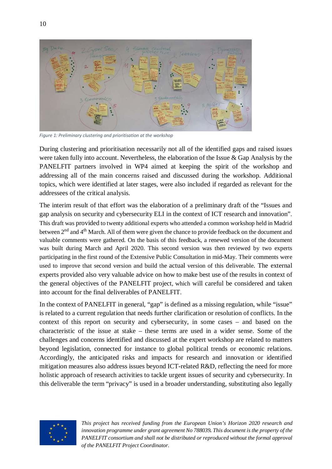

*Figure 1: Preliminary clustering and prioritisation at the workshop*

<span id="page-9-0"></span>During clustering and prioritisation necessarily not all of the identified gaps and raised issues were taken fully into account. Nevertheless, the elaboration of the Issue  $\&$  Gap Analysis by the PANELFIT partners involved in WP4 aimed at keeping the spirit of the workshop and addressing all of the main concerns raised and discussed during the workshop. Additional topics, which were identified at later stages, were also included if regarded as relevant for the addressees of the critical analysis.

The interim result of that effort was the elaboration of a preliminary draft of the "Issues and gap analysis on security and cybersecurity ELI in the context of ICT research and innovation". This draft was provided to twenty additional experts who attended a common workshop held in Madrid between 2<sup>nd</sup> and 4<sup>th</sup> March. All of them were given the chance to provide feedback on the document and valuable comments were gathered. On the basis of this feedback, a renewed version of the document was built during March and April 2020. This second version was then reviewed by two experts participating in the first round of the Extensive Public Consultation in mid-May. Their comments were used to improve that second version and build the actual version of this deliverable. The external experts provided also very valuable advice on how to make best use of the results in context of the general objectives of the PANELFIT project, which will careful be considered and taken into account for the final deliverables of PANELFIT.

In the context of PANELFIT in general, "gap" is defined as a missing regulation, while "issue" is related to a current regulation that needs further clarification or resolution of conflicts. In the context of this report on security and cybersecurity, in some cases – and based on the characteristic of the issue at stake – these terms are used in a wider sense. Some of the challenges and concerns identified and discussed at the expert workshop are related to matters beyond legislation, connected for instance to global political trends or economic relations. Accordingly, the anticipated risks and impacts for research and innovation or identified mitigation measures also address issues beyond ICT-related R&D, reflecting the need for more holistic approach of research activities to tackle urgent issues of security and cybersecurity. In this deliverable the term "privacy" is used in a broader understanding, substituting also legally

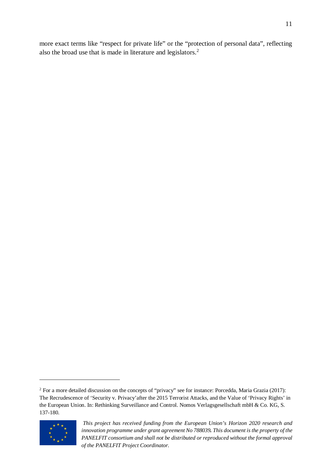more exact terms like "respect for private life" or the "protection of personal data", reflecting also the broad use that is made in literature and legislators.[2](#page-10-0)

<span id="page-10-0"></span><sup>&</sup>lt;sup>2</sup> For a more detailed discussion on the concepts of "privacy" see for instance: Porcedda, Maria Grazia (2017): The Recrudescence of 'Security v. Privacy'after the 2015 Terrorist Attacks, and the Value of 'Privacy Rights' in the European Union. In: Rethinking Surveillance and Control. Nomos Verlagsgesellschaft mbH & Co. KG, S. 137-180.



*This project has received funding from the European Union's Horizon 2020 research and innovation programme under grant agreement No 788039. This document is the property of the PANELFIT consortium and shall not be distributed or reproduced without the formal approval of the PANELFIT Project Coordinator.*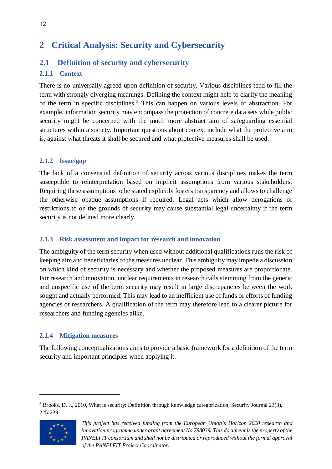# <span id="page-11-0"></span>**2 Critical Analysis: Security and Cybersecurity**

# <span id="page-11-7"></span><span id="page-11-1"></span>**2.1 Definition of security and cybersecurity**

# <span id="page-11-2"></span>**2.1.1 Context**

There is no universally agreed upon definition of security. Various disciplines tend to fill the term with strongly diverging meanings. Defining the context might help to clarify the meaning of the term in specific disciplines.[3](#page-11-6) This can happen on various levels of abstraction. For example, information security may encompass the protection of concrete data sets while public security might be concerned with the much more abstract aim of safeguarding essential structures within a society. Important questions about context include what the protective aim is, against what threats it shall be secured and what protective measures shall be used.

# <span id="page-11-3"></span>**2.1.2 Issue/gap**

The lack of a consensual definition of security across various disciplines makes the term susceptible to reinterpretation based on implicit assumptions from various stakeholders. Requiring these assumptions to be stated explicitly fosters transparency and allows to challenge the otherwise opaque assumptions if required. Legal acts which allow derogations or restrictions to on the grounds of security may cause substantial legal uncertainty if the term security is not defined more clearly.

# <span id="page-11-4"></span>**2.1.3 Risk assessment and impact for research and innovation**

The ambiguity of the term security when used without additional qualifications runs the risk of keeping aim and beneficiaries of the measures unclear. This ambiguity may impede a discussion on which kind of security is necessary and whether the proposed measures are proportionate. For research and innovation, unclear requirements in research calls stemming from the generic and unspecific use of the term security may result in large discrepancies between the work sought and actually performed. This may lead to an inefficient use of funds or efforts of funding agencies or researchers. A qualification of the term may therefore lead to a clearer picture for researchers and funding agencies alike.

# <span id="page-11-5"></span>**2.1.4 Mitigation measures**

The following conceptualizations aims to provide a basic framework for a definition of the term security and important principles when applying it.

<span id="page-11-6"></span><sup>&</sup>lt;sup>3</sup> Brooks, D. J., 2010, What is security: Definition through knowledge categorization, Security Journal 23(3), 225-239.



*This project has received funding from the European Union's Horizon 2020 research and innovation programme under grant agreement No 788039. This document is the property of the PANELFIT consortium and shall not be distributed or reproduced without the formal approval of the PANELFIT Project Coordinator.*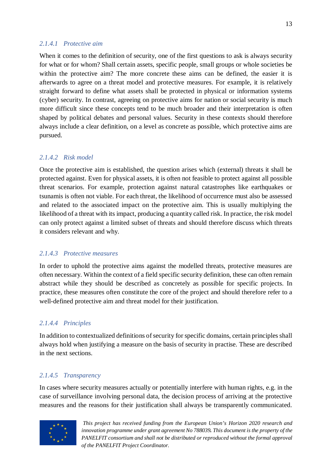#### *2.1.4.1 Protective aim*

When it comes to the definition of security, one of the first questions to ask is always security for what or for whom? Shall certain assets, specific people, small groups or whole societies be within the protective aim? The more concrete these aims can be defined, the easier it is afterwards to agree on a threat model and protective measures. For example, it is relatively straight forward to define what assets shall be protected in physical or information systems (cyber) security. In contrast, agreeing on protective aims for nation or social security is much more difficult since these concepts tend to be much broader and their interpretation is often shaped by political debates and personal values. Security in these contexts should therefore always include a clear definition, on a level as concrete as possible, which protective aims are pursued.

#### *2.1.4.2 Risk model*

Once the protective aim is established, the question arises which (external) threats it shall be protected against. Even for physical assets, it is often not feasible to protect against all possible threat scenarios. For example, protection against natural catastrophes like earthquakes or tsunamis is often not viable. For each threat, the likelihood of occurrence must also be assessed and related to the associated impact on the protective aim. This is usually multiplying the likelihood of a threat with its impact, producing a quantity called risk. In practice, the risk model can only protect against a limited subset of threats and should therefore discuss which threats it considers relevant and why.

#### *2.1.4.3 Protective measures*

In order to uphold the protective aims against the modelled threats, protective measures are often necessary. Within the context of a field specific security definition, these can often remain abstract while they should be described as concretely as possible for specific projects. In practice, these measures often constitute the core of the project and should therefore refer to a well-defined protective aim and threat model for their justification.

#### *2.1.4.4 Principles*

In addition to contextualized definitions of security for specific domains, certain principles shall always hold when justifying a measure on the basis of security in practise. These are described in the next sections.

#### *2.1.4.5 Transparency*

In cases where security measures actually or potentially interfere with human rights, e.g. in the case of surveillance involving personal data, the decision process of arriving at the protective measures and the reasons for their justification shall always be transparently communicated.

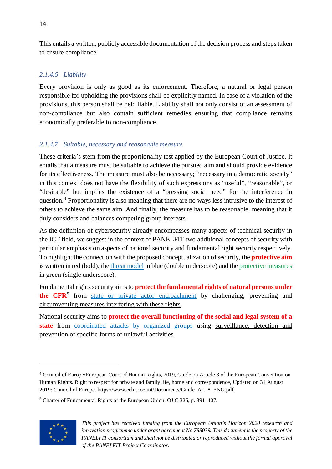This entails a written, publicly accessible documentation of the decision process and steps taken to ensure compliance.

# *2.1.4.6 Liability*

Every provision is only as good as its enforcement. Therefore, a natural or legal person responsible for upholding the provisions shall be explicitly named. In case of a violation of the provisions, this person shall be held liable. Liability shall not only consist of an assessment of non-compliance but also contain sufficient remedies ensuring that compliance remains economically preferable to non-compliance.

# *2.1.4.7 Suitable, necessary and reasonable measure*

These criteria's stem from the proportionality test applied by the European Court of Justice. It entails that a measure must be suitable to achieve the pursued aim and should provide evidence for its effectiveness. The measure must also be necessary; "necessary in a democratic society" in this context does not have the flexibility of such expressions as "useful", "reasonable", or "desirable" but implies the existence of a "pressing social need" for the interference in question.[4](#page-13-0) Proportionality is also meaning that there are no ways less intrusive to the interest of others to achieve the same aim. And finally, the measure has to be reasonable, meaning that it duly considers and balances competing group interests.

As the definition of cybersecurity already encompasses many aspects of technical security in the ICT field, we suggest in the context of PANELFIT two additional concepts of security with particular emphasis on aspects of national security and fundamental right security respectively. To highlight the connection with the proposed conceptualization of security, the **protective aim** is written in red (bold), the threat model in blue (double underscore) and the protective measures in green (single underscore).

Fundamental rights security aims to **protect the fundamental rights of natural persons under the CFR**<sup>[5](#page-13-1)</sup> from state or private actor encroachment by challenging, preventing and circumventing measures interfering with these rights.

National security aims to **protect the overall functioning of the social and legal system of a**  state from coordinated attacks by organized groups using surveillance, detection and prevention of specific forms of unlawful activities.

<span id="page-13-1"></span><sup>5</sup> Charter of Fundamental Rights of the European Union, OJ C 326, p. 391–407.



<span id="page-13-0"></span><sup>4</sup> Council of Europe/European Court of Human Rights, 2019, Guide on Article 8 of the European Convention on Human Rights. Right to respect for private and family life, home and correspondence, Updated on 31 August 2019: Council of Europe. https://www.echr.coe.int/Documents/Guide\_Art\_8\_ENG.pdf.

*This project has received funding from the European Union's Horizon 2020 research and innovation programme under grant agreement No 788039. This document is the property of the PANELFIT consortium and shall not be distributed or reproduced without the formal approval of the PANELFIT Project Coordinator.*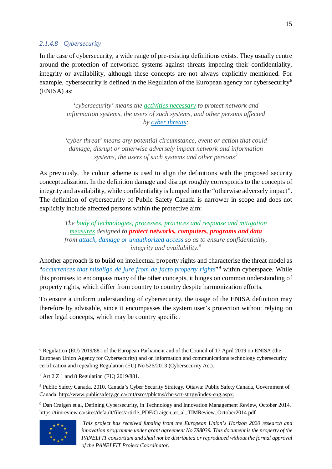#### *2.1.4.8 Cybersecurity*

In the case of cybersecurity, a wide range of pre-existing definitions exists. They usually centre around the protection of networked systems against threats impeding their confidentiality, integrity or availability, although these concepts are not always explicitly mentioned. For example, cybersecurity is defined in the Regulation of the European agency for cybersecurity<sup>[6](#page-14-0)</sup> (ENISA) as:

> *'cybersecurity' means the activities necessary to protect network and information systems, the users of such systems, and other persons affected by cyber threats;*

*'cyber threat' means any potential circumstance, event or action that could damage, disrupt or otherwise adversely impact network and information systems, the users of such systems and other persons[7](#page-14-1)*

As previously, the colour scheme is used to align the definitions with the proposed security conceptualization. In the definition damage and disrupt roughly corresponds to the concepts of integrity and availability, while confidentiality is lumped into the "otherwise adversely impact". The definition of cybersecurity of Public Safety Canada is narrower in scope and does not explicitly include affected persons within the protective aim:

*The body of technologies, processes, practices and response and mitigation measures designed to protect networks, computers, programs and data from attack, damage or unauthorized access so as to ensure confidentiality, integrity and availability.[8](#page-14-2)*

Another approach is to build on intellectual property rights and characterise the threat model as "*occurrences that misalign de jure from de facto property rights*"[9](#page-14-3) within cyberspace. While this promises to encompass many of the other concepts, it hinges on common understanding of property rights, which differ from country to country despite harmonization efforts.

To ensure a uniform understanding of cybersecurity, the usage of the ENISA definition may therefore by advisable, since it encompasses the system user's protection without relying on other legal concepts, which may be country specific.

<span id="page-14-3"></span><sup>&</sup>lt;sup>9</sup> Dan Craigen et al, Defining Cybersecurity, in Technology and Innovation Management Review, October 2014. [https://timreview.ca/sites/default/files/article\\_PDF/Craigen\\_et\\_al\\_TIMReview\\_October2014.pdf.](https://timreview.ca/sites/default/files/article_PDF/Craigen_et_al_TIMReview_October2014.pdf)



<span id="page-14-0"></span><sup>6</sup> Regulation (EU) 2019/881 of the European Parliament and of the Council of 17 April 2019 on ENISA (the European Union Agency for Cybersecurity) and on information and communications technology cybersecurity certification and repealing Regulation (EU) No 526/2013 (Cybersecurity Act).

<span id="page-14-1"></span><sup>7</sup> Art 2 Z 1 and 8 Regulation (EU) 2019/881.

<span id="page-14-2"></span><sup>8</sup> Public Safety Canada. 2010. Canada's Cyber Security Strategy. Ottawa: Public Safety Canada, Government of Canada. [http://www.publicsafety.gc.ca/cnt/rsrcs/pblctns/cbr-scrt-strtgy/index-eng.aspx.](http://www.publicsafety.gc.ca/cnt/rsrcs/pblctns/cbr-scrt-strtgy/index-eng.aspx)

*This project has received funding from the European Union's Horizon 2020 research and innovation programme under grant agreement No 788039. This document is the property of the PANELFIT consortium and shall not be distributed or reproduced without the formal approval of the PANELFIT Project Coordinator.*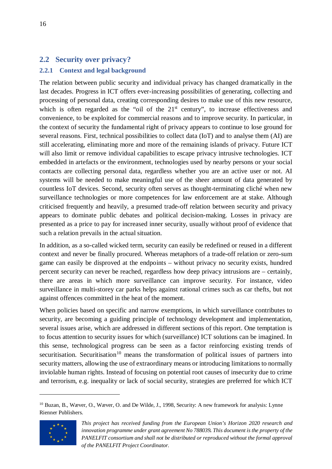# <span id="page-15-0"></span>**2.2 Security over privacy?**

# <span id="page-15-1"></span>**2.2.1 Context and legal background**

The relation between public security and individual privacy has changed dramatically in the last decades. Progress in ICT offers ever-increasing possibilities of generating, collecting and processing of personal data, creating corresponding desires to make use of this new resource, which is often regarded as the "oil of the  $21<sup>st</sup>$  century", to increase effectiveness and convenience, to be exploited for commercial reasons and to improve security. In particular, in the context of security the fundamental right of privacy appears to continue to lose ground for several reasons. First, technical possibilities to collect data (IoT) and to analyse them (AI) are still accelerating, eliminating more and more of the remaining islands of privacy. Future ICT will also limit or remove individual capabilities to escape privacy intrusive technologies. ICT embedded in artefacts or the environment, technologies used by nearby persons or your social contacts are collecting personal data, regardless whether you are an active user or not. AI systems will be needed to make meaningful use of the sheer amount of data generated by countless IoT devices. Second, security often serves as thought-terminating cliché when new surveillance technologies or more competences for law enforcement are at stake. Although criticised frequently and heavily, a presumed trade-off relation between security and privacy appears to dominate public debates and political decision-making. Losses in privacy are presented as a price to pay for increased inner security, usually without proof of evidence that such a relation prevails in the actual situation.

In addition, as a so-called wicked term, security can easily be redefined or reused in a different context and never be finally procured. Whereas metaphors of a trade-off relation or zero-sum game can easily be disproved at the endpoints – without privacy no security exists, hundred percent security can never be reached, regardless how deep privacy intrusions are – certainly, there are areas in which more surveillance can improve security. For instance, video surveillance in multi-storey car parks helps against rational crimes such as car thefts, but not against offences committed in the heat of the moment.

When policies based on specific and narrow exemptions, in which surveillance contributes to security, are becoming a guiding principle of technology development and implementation, several issues arise, which are addressed in different sections of this report. One temptation is to focus attention to security issues for which (surveillance) ICT solutions can be imagined. In this sense, technological progress can be seen as a factor reinforcing existing trends of securitisation. Securitisation<sup>[10](#page-15-2)</sup> means the transformation of political issues of partners into security matters, allowing the use of extraordinary means or introducing limitations to normally inviolable human rights. Instead of focusing on potential root causes of insecurity due to crime and terrorism, e.g. inequality or lack of social security, strategies are preferred for which ICT

<span id="page-15-2"></span><sup>&</sup>lt;sup>10</sup> Buzan, B., Wæver, O., Wæver, O. and De Wilde, J., 1998, Security: A new framework for analysis: Lynne Rienner Publishers.



*This project has received funding from the European Union's Horizon 2020 research and innovation programme under grant agreement No 788039. This document is the property of the PANELFIT consortium and shall not be distributed or reproduced without the formal approval of the PANELFIT Project Coordinator.*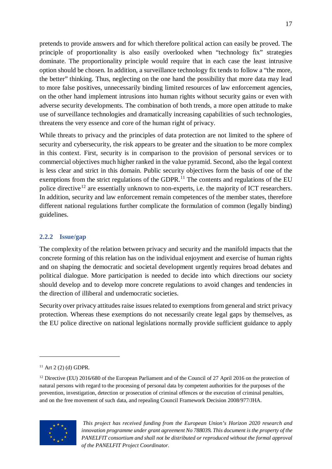pretends to provide answers and for which therefore political action can easily be proved. The principle of proportionality is also easily overlooked when "technology fix" strategies dominate. The proportionality principle would require that in each case the least intrusive option should be chosen. In addition, a surveillance technology fix tends to follow a "the more, the better" thinking. Thus, neglecting on the one hand the possibility that more data may lead to more false positives, unnecessarily binding limited resources of law enforcement agencies, on the other hand implement intrusions into human rights without security gains or even with adverse security developments. The combination of both trends, a more open attitude to make use of surveillance technologies and dramatically increasing capabilities of such technologies, threatens the very essence and core of the human right of privacy.

While threats to privacy and the principles of data protection are not limited to the sphere of security and cybersecurity, the risk appears to be greater and the situation to be more complex in this context. First, security is in comparison to the provision of personal services or to commercial objectives much higher ranked in the value pyramid. Second, also the legal context is less clear and strict in this domain. Public security objectives form the basis of one of the exemptions from the strict regulations of the GDPR.<sup>[11](#page-16-1)</sup> The contents and regulations of the EU police directive<sup>[12](#page-16-2)</sup> are essentially unknown to non-experts, i.e. the majority of ICT researchers. In addition, security and law enforcement remain competences of the member states, therefore different national regulations further complicate the formulation of common (legally binding) guidelines.

### <span id="page-16-0"></span>**2.2.2 Issue/gap**

The complexity of the relation between privacy and security and the manifold impacts that the concrete forming of this relation has on the individual enjoyment and exercise of human rights and on shaping the democratic and societal development urgently requires broad debates and political dialogue. More participation is needed to decide into which directions our society should develop and to develop more concrete regulations to avoid changes and tendencies in the direction of illiberal and undemocratic societies.

Security over privacy attitudes raise issues related to exemptions from general and strict privacy protection. Whereas these exemptions do not necessarily create legal gaps by themselves, as the EU police directive on national legislations normally provide sufficient guidance to apply

<span id="page-16-2"></span><span id="page-16-1"></span><sup>&</sup>lt;sup>12</sup> Directive (EU) 2016/680 of the European Parliament and of the Council of 27 April 2016 on the protection of natural persons with regard to the processing of personal data by competent authorities for the purposes of the prevention, investigation, detection or prosecution of criminal offences or the execution of criminal penalties, and on the free movement of such data, and repealing Council Framework Decision 2008/977/JHA.



*This project has received funding from the European Union's Horizon 2020 research and innovation programme under grant agreement No 788039. This document is the property of the PANELFIT consortium and shall not be distributed or reproduced without the formal approval of the PANELFIT Project Coordinator.*

 $11$  Art 2 (2) (d) GDPR.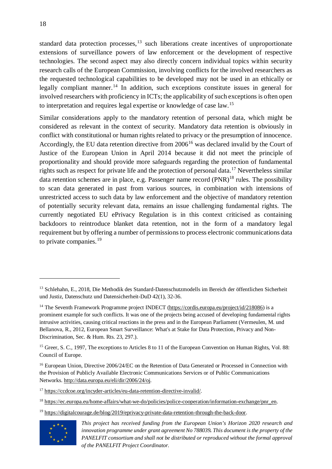standard data protection processes,<sup>[13](#page-17-0)</sup> such liberations create incentives of unproportionate extensions of surveillance powers of law enforcement or the development of respective technologies. The second aspect may also directly concern individual topics within security research calls of the European Commission, involving conflicts for the involved researchers as the requested technological capabilities to be developed may not be used in an ethically or legally compliant manner.<sup>[14](#page-17-1)</sup> In addition, such exceptions constitute issues in general for involved researchers with proficiency in ICTs; the applicability of such exceptions is often open to interpretation and requires legal expertise or knowledge of case law.[15](#page-17-2)

Similar considerations apply to the mandatory retention of personal data, which might be considered as relevant in the context of security. Mandatory data retention is obviously in conflict with constitutional or human rights related to privacy or the presumption of innocence. Accordingly, the EU data retention directive from 2006<sup>[16](#page-17-3)</sup> was declared invalid by the Court of Justice of the European Union in April 2014 because it did not meet the principle of proportionality and should provide more safeguards regarding the protection of fundamental rights such as respect for private life and the protection of personal data.<sup>[17](#page-17-4)</sup> Nevertheless similar data retention schemes are in place, e.g. Passenger name record  $(PNR)^{18}$  $(PNR)^{18}$  $(PNR)^{18}$  rules. The possibility to scan data generated in past from various sources, in combination with intensions of unrestricted access to such data by law enforcement and the objective of mandatory retention of potentially security relevant data, remains an issue challenging fundamental rights. The currently negotiated EU ePrivacy Regulation is in this context criticised as containing backdoors to reintroduce blanket data retention, not in the form of a mandatory legal requirement but by offering a number of permissions to process electronic communications data to private companies.<sup>[19](#page-17-6)</sup>

<sup>19</sup> [https://digitalcourage.de/blog/2019/eprivacy-private-data-retention-through-the-back-door.](https://digitalcourage.de/blog/2019/eprivacy-private-data-retention-through-the-back-door)

<span id="page-17-6"></span>

<span id="page-17-0"></span><sup>13</sup> Schlehahn, E., 2018, Die Methodik des Standard-Datenschutzmodells im Bereich der öffentlichen Sicherheit und Justiz, Datenschutz und Datensicherheit-DuD 42(1), 32-36.

<span id="page-17-1"></span><sup>&</sup>lt;sup>14</sup> The Seventh Framework Programme project INDECT [\(https://cordis.europa.eu/project/id/218086\)](https://cordis.europa.eu/project/id/218086) is a prominent example for such conflicts. It was one of the projects being accused of developing fundamental rights intrusive activities, causing critical reactions in the press and in the European Parliament (Vermeulen, M. und Bellanova, R., 2012, European Smart Surveillance: What's at Stake for Data Protection, Privacy and Non-Discrimination, Sec. & Hum. Rts. 23, 297.).

<span id="page-17-2"></span><sup>&</sup>lt;sup>15</sup> Greer, S. C., 1997. The exceptions to Articles 8 to 11 of the European Convention on Human Rights, Vol. 88: Council of Europe.

<span id="page-17-3"></span><sup>&</sup>lt;sup>16</sup> European Union, Directive 2006/24/EC on the Retention of Data Generated or Processed in Connection with the Provision of Publicly Available Electronic Communications Services or of Public Communications Networks[. http://data.europa.eu/eli/dir/2006/24/oj.](http://data.europa.eu/eli/dir/2006/24/oj)

<span id="page-17-4"></span><sup>17</sup> [https://ccdcoe.org/incyder-articles/eu-data-retention-directive-invalid/.](https://ccdcoe.org/incyder-articles/eu-data-retention-directive-invalid/)

<span id="page-17-5"></span><sup>&</sup>lt;sup>18</sup> [https://ec.europa.eu/home-affairs/what-we-do/policies/police-cooperation/information-exchange/pnr\\_en.](https://ec.europa.eu/home-affairs/what-we-do/policies/police-cooperation/information-exchange/pnr_en)

*This project has received funding from the European Union's Horizon 2020 research and innovation programme under grant agreement No 788039. This document is the property of the PANELFIT consortium and shall not be distributed or reproduced without the formal approval of the PANELFIT Project Coordinator.*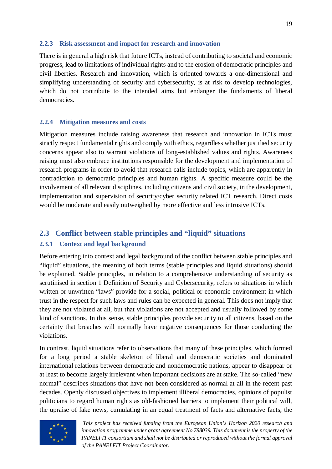#### <span id="page-18-0"></span>**2.2.3 Risk assessment and impact for research and innovation**

There is in general a high risk that future ICTs, instead of contributing to societal and economic progress, lead to limitations of individual rights and to the erosion of democratic principles and civil liberties. Research and innovation, which is oriented towards a one-dimensional and simplifying understanding of security and cybersecurity, is at risk to develop technologies, which do not contribute to the intended aims but endanger the fundaments of liberal democracies.

#### <span id="page-18-1"></span>**2.2.4 Mitigation measures and costs**

Mitigation measures include raising awareness that research and innovation in ICTs must strictly respect fundamental rights and comply with ethics, regardless whether justified security concerns appear also to warrant violations of long-established values and rights. Awareness raising must also embrace institutions responsible for the development and implementation of research programs in order to avoid that research calls include topics, which are apparently in contradiction to democratic principles and human rights. A specific measure could be the involvement of all relevant disciplines, including citizens and civil society, in the development, implementation and supervision of security/cyber security related ICT research. Direct costs would be moderate and easily outweighed by more effective and less intrusive ICTs.

# <span id="page-18-2"></span>**2.3 Conflict between stable principles and "liquid" situations**

#### <span id="page-18-3"></span>**2.3.1 Context and legal background**

Before entering into context and legal background of the conflict between stable principles and "liquid" situations, the meaning of both terms (stable principles and liquid situations) should be explained. Stable principles, in relation to a comprehensive understanding of security as scrutinised in section [1](#page-11-7) [Definition of Security and Cybersecurity,](#page-11-7) refers to situations in which written or unwritten "laws" provide for a social, political or economic environment in which trust in the respect for such laws and rules can be expected in general. This does not imply that they are not violated at all, but that violations are not accepted and usually followed by some kind of sanctions. In this sense, stable principles provide security to all citizens, based on the certainty that breaches will normally have negative consequences for those conducting the violations.

In contrast, liquid situations refer to observations that many of these principles, which formed for a long period a stable skeleton of liberal and democratic societies and dominated international relations between democratic and nondemocratic nations, appear to disappear or at least to become largely irrelevant when important decisions are at stake. The so-called "new normal" describes situations that have not been considered as normal at all in the recent past decades. Openly discussed objectives to implement illiberal democracies, opinions of populist politicians to regard human rights as old-fashioned barriers to implement their political will, the upraise of fake news, cumulating in an equal treatment of facts and alternative facts, the

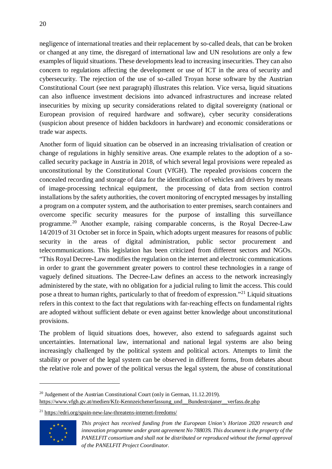negligence of international treaties and their replacement by so-called deals, that can be broken or changed at any time, the disregard of international law and UN resolutions are only a few examples of liquid situations. These developments lead to increasing insecurities. They can also concern to regulations affecting the development or use of ICT in the area of security and cybersecurity. The rejection of the use of so-called Troyan horse software by the Austrian Constitutional Court (see next paragraph) illustrates this relation. Vice versa, liquid situations can also influence investment decisions into advanced infrastructures and increase related insecurities by mixing up security considerations related to digital sovereignty (national or European provision of required hardware and software), cyber security considerations (suspicion about presence of hidden backdoors in hardware) and economic considerations or trade war aspects.

Another form of liquid situation can be observed in an increasing trivialisation of creation or change of regulations in highly sensitive areas. One example relates to the adoption of a socalled security package in Austria in 2018, of which several legal provisions were repealed as unconstitutional by the Constitutional Court (VfGH). The repealed provisions concern the concealed recording and storage of data for the identification of vehicles and drivers by means of image-processing technical equipment, the processing of data from section control installations by the safety authorities, the covert monitoring of encrypted messages by installing a program on a computer system, and the authorisation to enter premises, search containers and overcome specific security measures for the purpose of installing this surveillance programme.[20](#page-19-0) Another example, raising comparable concerns, is the Royal Decree-Law 14/2019 of 31 October set in force in Spain, which adopts urgent measures for reasons of public security in the areas of digital administration, public sector procurement and telecommunications. This legislation has been criticized from different sectors and NGOs. "This Royal Decree-Law modifies the regulation on the internet and electronic communications in order to grant the government greater powers to control these technologies in a range of vaguely defined situations. The Decree-Law defines an access to the network increasingly administered by the state, with no obligation for a judicial ruling to limit the access. This could pose a threat to human rights, particularly to that of freedom of expression."[21](#page-19-1) Liquid situations refers in this context to the fact that regulations with far-reaching effects on fundamental rights are adopted without sufficient debate or even against better knowledge about unconstitutional provisions.

The problem of liquid situations does, however, also extend to safeguards against such uncertainties. International law, international and national legal systems are also being increasingly challenged by the political system and political actors. Attempts to limit the stability or power of the legal system can be observed in different forms, from debates about the relative role and power of the political versus the legal system, the abuse of constitutional

<span id="page-19-1"></span><sup>21</sup> <https://edri.org/spain-new-law-threatens-internet-freedoms/>



<span id="page-19-0"></span><sup>&</sup>lt;sup>20</sup> Judgement of the Austrian Constitutional Court (only in German, 11.12.2019). [https://www.vfgh.gv.at/medien/Kfz-Kennzeichenerfassung\\_und\\_\\_Bundestrojaner\\_\\_verfass.de.php](https://www.vfgh.gv.at/medien/Kfz-Kennzeichenerfassung_und__Bundestrojaner__verfass.de.php)

*This project has received funding from the European Union's Horizon 2020 research and innovation programme under grant agreement No 788039. This document is the property of the PANELFIT consortium and shall not be distributed or reproduced without the formal approval of the PANELFIT Project Coordinator.*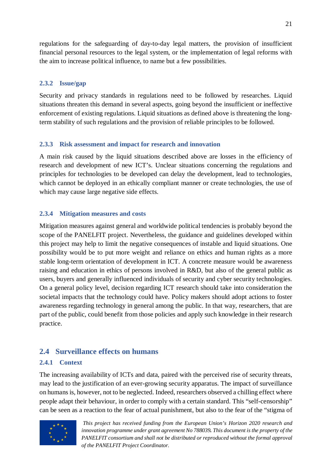regulations for the safeguarding of day-to-day legal matters, the provision of insufficient financial personal resources to the legal system, or the implementation of legal reforms with the aim to increase political influence, to name but a few possibilities.

### <span id="page-20-0"></span>**2.3.2 Issue/gap**

Security and privacy standards in regulations need to be followed by researches. Liquid situations threaten this demand in several aspects, going beyond the insufficient or ineffective enforcement of existing regulations. Liquid situations as defined above is threatening the longterm stability of such regulations and the provision of reliable principles to be followed.

### <span id="page-20-1"></span>**2.3.3 Risk assessment and impact for research and innovation**

A main risk caused by the liquid situations described above are losses in the efficiency of research and development of new ICT's. Unclear situations concerning the regulations and principles for technologies to be developed can delay the development, lead to technologies, which cannot be deployed in an ethically compliant manner or create technologies, the use of which may cause large negative side effects.

# <span id="page-20-2"></span>**2.3.4 Mitigation measures and costs**

Mitigation measures against general and worldwide political tendencies is probably beyond the scope of the PANELFIT project. Nevertheless, the guidance and guidelines developed within this project may help to limit the negative consequences of instable and liquid situations. One possibility would be to put more weight and reliance on ethics and human rights as a more stable long-term orientation of development in ICT. A concrete measure would be awareness raising and education in ethics of persons involved in R&D, but also of the general public as users, buyers and generally influenced individuals of security and cyber security technologies. On a general policy level, decision regarding ICT research should take into consideration the societal impacts that the technology could have. Policy makers should adopt actions to foster awareness regarding technology in general among the public. In that way, researchers, that are part of the public, could benefit from those policies and apply such knowledge in their research practice.

# <span id="page-20-3"></span>**2.4 Surveillance effects on humans**

# <span id="page-20-4"></span>**2.4.1 Context**

The increasing availability of ICTs and data, paired with the perceived rise of security threats, may lead to the justification of an ever-growing security apparatus. The impact of surveillance on humans is, however, not to be neglected. Indeed, researchers observed a chilling effect where people adapt their behaviour, in order to comply with a certain standard. This "self-censorship" can be seen as a reaction to the fear of actual punishment, but also to the fear of the "stigma of

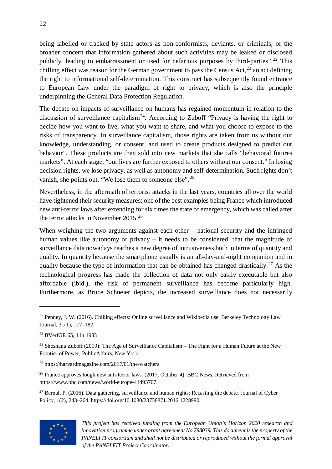being labelled or tracked by state actors as non-conformists, deviants, or criminals, or the broader concern that information gathered about such activities may be leaked or disclosed publicly, leading to embarrassment or used for nefarious purposes by third-parties".<sup>[22](#page-21-0)</sup> This chilling effect was reason for the German government to pass the Census Act,  $^{23}$  $^{23}$  $^{23}$  an act defining the right to informational self-determination. This construct has subsequently found entrance to European Law under the paradigm of right to privacy, which is also the principle underpinning the General Data Protection Regulation.

The debate on impacts of surveillance on humans has regained momentum in relation to the discussion of surveillance capitalism<sup>24</sup>. According to Zuboff "Privacy is having the right to decide how you want to live, what you want to share, and what you choose to expose to the risks of transparency. In surveillance capitalism, those rights are taken from us without our knowledge, understanding, or consent, and used to create products designed to predict our behavior". These products are then sold into new markets that she calls "behavioral futures markets". At each stage, "our lives are further exposed to others without our consent." In losing decision rights, we lose privacy, as well as autonomy and self-determination. Such rights don't vanish, she points out. "We lose them to someone else".<sup>[25](#page-21-3)</sup>

Nevertheless, in the aftermath of terrorist attacks in the last years, countries all over the world have tightened their security measures; one of the best examples being France which introduced new anti-terror laws after extending for six times the state of emergency, which was called after the terror attacks in November 2015.[26](#page-21-4)

When weighing the two arguments against each other – national security and the infringed human values like autonomy or privacy – it needs to be considered, that the magnitude of surveillance data nowadays reaches a new degree of intrusiveness both in terms of quantity and quality. In quantity because the smartphone usually is an all-day-and-night companion and in quality because the type of information that can be obtained has changed drastically.<sup>[27](#page-21-5)</sup> As the technological progress has made the collection of data not only easily executable but also affordable (ibid.), the risk of permanent surveillance has become particularly high. Furthermore, as Bruce Schneier depicts, the increased surveillance does not necessarily

<span id="page-21-5"></span> $27$  Bernal, P. (2016). Data gathering, surveillance and human rights: Recasting the debate. Journal of Cyber Policy, 1(2), 243–264. [https://doi.org/10.1080/23738871.2016.1228990.](https://doi.org/10.1080/23738871.2016.1228990)



*This project has received funding from the European Union's Horizon 2020 research and innovation programme under grant agreement No 788039. This document is the property of the PANELFIT consortium and shall not be distributed or reproduced without the formal approval of the PANELFIT Project Coordinator.*

<span id="page-21-0"></span><sup>&</sup>lt;sup>22</sup> Penney, J. W. (2016). Chilling effects: Online surveillance and Wikipedia use. Berkeley Technology Law Journal, 31(1), 117–182.

<span id="page-21-1"></span><sup>23</sup> BVerfGE 65, 1 in 1983

<span id="page-21-2"></span><sup>&</sup>lt;sup>24</sup> Shoshana Zuboff (2019): The Age of Surveillance Capitalism – The Fight for a Human Future at the New Frontier of Power, PublicAffairs, New York.

<span id="page-21-3"></span><sup>25</sup> https://harvardmagazine.com/2017/01/the-watchers

<span id="page-21-4"></span><sup>&</sup>lt;sup>26</sup> France approves tough new anti-terror laws. (2017, October 4). BBC News. Retrieved from [https://www.bbc.com/news/world-europe-41493707.](https://www.bbc.com/news/world-europe-41493707)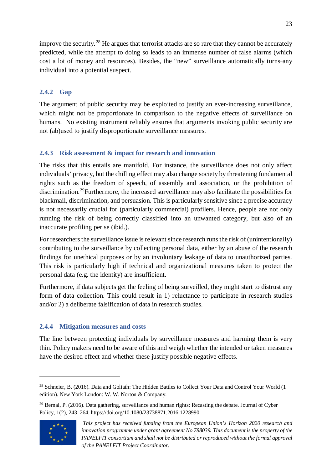improve the security.<sup>[28](#page-22-3)</sup> He argues that terrorist attacks are so rare that they cannot be accurately predicted, while the attempt to doing so leads to an immense number of false alarms (which cost a lot of money and resources). Besides, the "new" surveillance automatically turns-any individual into a potential suspect.

# <span id="page-22-0"></span>**2.4.2 Gap**

The argument of public security may be exploited to justify an ever-increasing surveillance, which might not be proportionate in comparison to the negative effects of surveillance on humans. No existing instrument reliably ensures that arguments invoking public security are not (ab)used to justify disproportionate surveillance measures.

# <span id="page-22-1"></span>**2.4.3 Risk assessment & impact for research and innovation**

The risks that this entails are manifold. For instance, the surveillance does not only affect individuals' privacy, but the chilling effect may also change society by threatening fundamental rights such as the freedom of speech, of assembly and association, or the prohibition of discrimination.<sup>29</sup>Furthermore, the increased surveillance may also facilitate the possibilities for blackmail, discrimination, and persuasion. This is particularly sensitive since a precise accuracy is not necessarily crucial for (particularly commercial) profilers. Hence, people are not only running the risk of being correctly classified into an unwanted category, but also of an inaccurate profiling per se (ibid.).

For researchers the surveillance issue is relevant since research runs the risk of (unintentionally) contributing to the surveillance by collecting personal data, either by an abuse of the research findings for unethical purposes or by an involuntary leakage of data to unauthorized parties. This risk is particularly high if technical and organizational measures taken to protect the personal data (e.g. the identity) are insufficient.

Furthermore, if data subjects get the feeling of being surveilled, they might start to distrust any form of data collection. This could result in 1) reluctance to participate in research studies and/or 2) a deliberate falsification of data in research studies.

# <span id="page-22-2"></span>**2.4.4 Mitigation measures and costs**

The line between protecting individuals by surveillance measures and harming them is very thin. Policy makers need to be aware of this and weigh whether the intended or taken measures have the desired effect and whether these justify possible negative effects.

<span id="page-22-4"></span><sup>&</sup>lt;sup>29</sup> Bernal, P. (2016). Data gathering, surveillance and human rights: Recasting the debate. Journal of Cyber Policy, 1(2), 243–264.<https://doi.org/10.1080/23738871.2016.1228990>



<span id="page-22-3"></span><sup>&</sup>lt;sup>28</sup> Schneier, B. (2016). Data and Goliath: The Hidden Battles to Collect Your Data and Control Your World (1 edition). New York London: W. W. Norton & Company.

*This project has received funding from the European Union's Horizon 2020 research and innovation programme under grant agreement No 788039. This document is the property of the PANELFIT consortium and shall not be distributed or reproduced without the formal approval of the PANELFIT Project Coordinator.*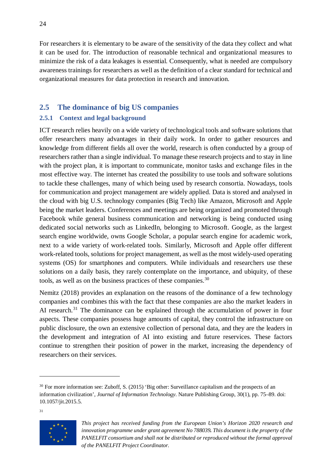For researchers it is elementary to be aware of the sensitivity of the data they collect and what it can be used for. The introduction of reasonable technical and organizational measures to minimize the risk of a data leakages is essential. Consequently, what is needed are compulsory awareness trainings for researchers as well as the definition of a clear standard for technical and organizational measures for data protection in research and innovation.

# <span id="page-23-0"></span>**2.5 The dominance of big US companies**

### <span id="page-23-1"></span>**2.5.1 Context and legal background**

ICT research relies heavily on a wide variety of technological tools and software solutions that offer researchers many advantages in their daily work. In order to gather resources and knowledge from different fields all over the world, research is often conducted by a group of researchers rather than a single individual. To manage these research projects and to stay in line with the project plan, it is important to communicate, monitor tasks and exchange files in the most effective way. The internet has created the possibility to use tools and software solutions to tackle these challenges, many of which being used by research consortia. Nowadays, tools for communication and project management are widely applied. Data is stored and analysed in the cloud with big U.S. technology companies (Big Tech) like Amazon, Microsoft and Apple being the market leaders. Conferences and meetings are being organized and promoted through Facebook while general business communication and networking is being conducted using dedicated social networks such as LinkedIn, belonging to Microsoft. Google, as the largest search engine worldwide, owns Google Scholar, a popular search engine for academic work, next to a wide variety of work-related tools. Similarly, Microsoft and Apple offer different work-related tools, solutions for project management, as well as the most widely-used operating systems (OS) for smartphones and computers. While individuals and researchers use these solutions on a daily basis, they rarely contemplate on the importance, and ubiquity, of these tools, as well as on the business practices of these companies.<sup>[30](#page-23-2)</sup>

Nemitz (2018) provides an explanation on the reasons of the dominance of a few technology companies and combines this with the fact that these companies are also the market leaders in AI research.<sup>[31](#page-23-3)</sup> The dominance can be explained through the accumulation of power in four aspects. These companies possess huge amounts of capital, they control the infrastructure on public disclosure, the own an extensive collection of personal data, and they are the leaders in the development and integration of AI into existing and future reservices. These factors continue to strengthen their position of power in the market, increasing the dependency of researchers on their services.

 $\overline{a}$ 

<span id="page-23-3"></span>31

<span id="page-23-2"></span><sup>&</sup>lt;sup>30</sup> For more information see: Zuboff, S. (2015) 'Big other: Surveillance capitalism and the prospects of an information civilization', *Journal of Information Technology*. Nature Publishing Group, 30(1), pp. 75–89. doi: 10.1057/jit.2015.5.

*This project has received funding from the European Union's Horizon 2020 research and innovation programme under grant agreement No 788039. This document is the property of the PANELFIT consortium and shall not be distributed or reproduced without the formal approval of the PANELFIT Project Coordinator.*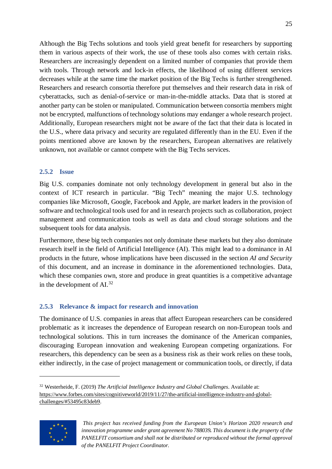Although the Big Techs solutions and tools yield great benefit for researchers by supporting them in various aspects of their work, the use of these tools also comes with certain risks. Researchers are increasingly dependent on a limited number of companies that provide them with tools. Through network and lock-in effects, the likelihood of using different services decreases while at the same time the market position of the Big Techs is further strengthened. Researchers and research consortia therefore put themselves and their research data in risk of cyberattacks, such as denial-of-service or man-in-the-middle attacks. Data that is stored at another party can be stolen or manipulated. Communication between consortia members might not be encrypted, malfunctions of technology solutions may endanger a whole research project. Additionally, European researchers might not be aware of the fact that their data is located in the U.S., where data privacy and security are regulated differently than in the EU. Even if the points mentioned above are known by the researchers, European alternatives are relatively unknown, not available or cannot compete with the Big Techs services.

### <span id="page-24-0"></span>**2.5.2 Issue**

Big U.S. companies dominate not only technology development in general but also in the context of ICT research in particular. "Big Tech" meaning the major U.S. technology companies like Microsoft, Google, Facebook and Apple, are market leaders in the provision of software and technological tools used for and in research projects such as collaboration, project management and communication tools as well as data and cloud storage solutions and the subsequent tools for data analysis.

Furthermore, these big tech companies not only dominate these markets but they also dominate research itself in the field of Artificial Intelligence (AI). This might lead to a dominance in AI products in the future, whose implications have been discussed in the section *AI and Security* of this document, and an increase in dominance in the aforementioned technologies. Data, which these companies own, store and produce in great quantities is a competitive advantage in the development of  $AI.^{32}$  $AI.^{32}$  $AI.^{32}$ 

# <span id="page-24-1"></span>**2.5.3 Relevance & impact for research and innovation**

The dominance of U.S. companies in areas that affect European researchers can be considered problematic as it increases the dependence of European research on non-European tools and technological solutions. This in turn increases the dominance of the American companies, discouraging European innovation and weakening European competing organizations. For researchers, this dependency can be seen as a business risk as their work relies on these tools, either indirectly, in the case of project management or communication tools, or directly, if data

<span id="page-24-2"></span><sup>32</sup> Westerheide, F. (2019) *The Artificial Intelligence Industry and Global Challenges*. Available at: [https://www.forbes.com/sites/cognitiveworld/2019/11/27/the-artificial-intelligence-industry-and-global](https://www.forbes.com/sites/cognitiveworld/2019/11/27/the-artificial-intelligence-industry-and-global-challenges/#53495c83deb9)[challenges/#53495c83deb9.](https://www.forbes.com/sites/cognitiveworld/2019/11/27/the-artificial-intelligence-industry-and-global-challenges/#53495c83deb9)



*This project has received funding from the European Union's Horizon 2020 research and innovation programme under grant agreement No 788039. This document is the property of the PANELFIT consortium and shall not be distributed or reproduced without the formal approval of the PANELFIT Project Coordinator.*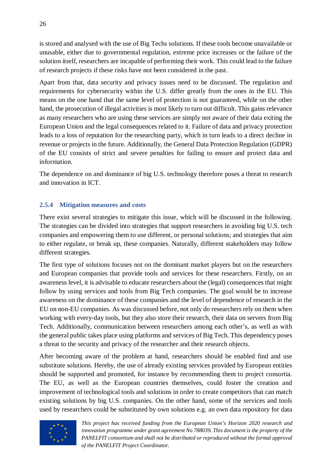is stored and analysed with the use of Big Techs solutions. If these tools become unavailable or unusable, either due to governmental regulation, extreme price increases or the failure of the solution itself, researchers are incapable of performing their work. This could lead to the failure of research projects if these risks have not been considered in the past.

Apart from that, data security and privacy issues need to be discussed. The regulation and requirements for cybersecurity within the U.S. differ greatly from the ones in the EU. This means on the one hand that the same level of protection is not guaranteed, while on the other hand, the prosecution of illegal activities is most likely to turn out difficult. This gains relevance as many researchers who are using these services are simply not aware of their data exiting the European Union and the legal consequences related to it. Failure of data and privacy protection leads to a loss of reputation for the researching party, which in turn leads to a direct decline in revenue or projects in the future. Additionally, the General Data Protection Regulation (GDPR) of the EU consists of strict and severe penalties for failing to ensure and protect data and information.

The dependence on and dominance of big U.S. technology therefore poses a threat to research and innovation in ICT.

### <span id="page-25-0"></span>**2.5.4 Mitigation measures and costs**

There exist several strategies to mitigate this issue, which will be discussed in the following. The strategies can be divided into strategies that support researchers in avoiding big U.S. tech companies and empowering them to use different, or personal solutions; and strategies that aim to either regulate, or break up, these companies. Naturally, different stakeholders may follow different strategies.

The first type of solutions focuses not on the dominant market players but on the researchers and European companies that provide tools and services for these researchers. Firstly, on an awareness level, it is advisable to educate researchers about the (legal) consequences that might follow by using services and tools from Big Tech companies. The goal would be to increase awareness on the dominance of these companies and the level of dependence of research in the EU on non-EU companies. As was discussed before, not only do researchers rely on them when working with every-day tools, but they also store their research, their data on servers from Big Tech. Additionally, communication between researchers among each other's, as well as with the general public takes place using platforms and services of Big Tech. This dependency poses a threat to the security and privacy of the researcher and their research objects.

After becoming aware of the problem at hand, researchers should be enabled find and use substitute solutions. Hereby, the use of already existing services provided by European entities should be supported and promoted, for instance by recommending them to project consortia. The EU, as well as the European countries themselves, could foster the creation and improvement of technological tools and solutions in order to create competitors that can match existing solutions by big U.S. companies. On the other hand, some of the services and tools used by researchers could be substituted by own solutions e.g. an own data repository for data

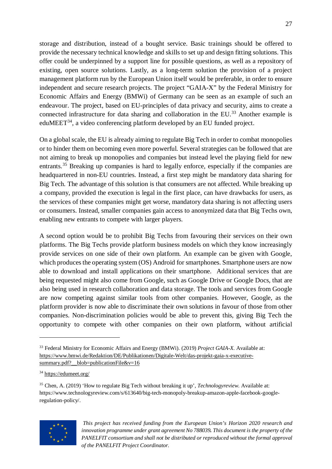storage and distribution, instead of a bought service. Basic trainings should be offered to provide the necessary technical knowledge and skills to set up and design fitting solutions. This offer could be underpinned by a support line for possible questions, as well as a repository of existing, open source solutions. Lastly, as a long-term solution the provision of a project management platform run by the European Union itself would be preferable, in order to ensure independent and secure research projects. The project "GAIA-X" by the Federal Ministry for Economic Affairs and Energy (BMWi) of Germany can be seen as an example of such an endeavour. The project, based on EU-principles of data privacy and security, aims to create a connected infrastructure for data sharing and collaboration in the EU.<sup>[33](#page-26-0)</sup> Another example is eduMEET<sup>[34](#page-26-1)</sup>, a video conferencing platform developed by an EU funded project.

On a global scale, the EU is already aiming to regulate Big Tech in order to combat monopolies or to hinder them on becoming even more powerful. Several strategies can be followed that are not aiming to break up monopolies and companies but instead level the playing field for new entrants.<sup>[35](#page-26-2)</sup> Breaking up companies is hard to legally enforce, especially if the companies are headquartered in non-EU countries. Instead, a first step might be mandatory data sharing for Big Tech. The advantage of this solution is that consumers are not affected. While breaking up a company, provided the execution is legal in the first place, can have drawbacks for users, as the services of these companies might get worse, mandatory data sharing is not affecting users or consumers. Instead, smaller companies gain access to anonymized data that Big Techs own, enabling new entrants to compete with larger players.

A second option would be to prohibit Big Techs from favouring their services on their own platforms. The Big Techs provide platform business models on which they know increasingly provide services on one side of their own platform. An example can be given with Google, which produces the operating system (OS) Android for smartphones. Smartphone users are now able to download and install applications on their smartphone. Additional services that are being requested might also come from Google, such as Google Drive or Google Docs, that are also being used in research collaboration and data storage. The tools and services from Google are now competing against similar tools from other companies. However, Google, as the platform provider is now able to discriminate their own solutions in favour of those from other companies. Non-discrimination policies would be able to prevent this, giving Big Tech the opportunity to compete with other companies on their own platform, without artificial

<span id="page-26-2"></span><span id="page-26-1"></span><sup>35</sup> Chen, A. (2019) 'How to regulate Big Tech without breaking it up', *Technologyreview*. Available at: https://www.technologyreview.com/s/613640/big-tech-monopoly-breakup-amazon-apple-facebook-googleregulation-policy/.



*This project has received funding from the European Union's Horizon 2020 research and innovation programme under grant agreement No 788039. This document is the property of the PANELFIT consortium and shall not be distributed or reproduced without the formal approval of the PANELFIT Project Coordinator.*

<span id="page-26-0"></span><sup>33</sup> Federal Ministry for Economic Affairs and Energy (BMWi). (2019) *Project GAIA-X.* Available at: [https://www.bmwi.de/Redaktion/DE/Publikationen/Digitale-Welt/das-projekt-gaia-x-executive](https://www.bmwi.de/Redaktion/DE/Publikationen/Digitale-Welt/das-projekt-gaia-x-executive-summary.pdf?__blob=publicationFile&v=16)summary.pdf?\_blob=publicationFile&v=16

<sup>34</sup> <https://edumeet.org/>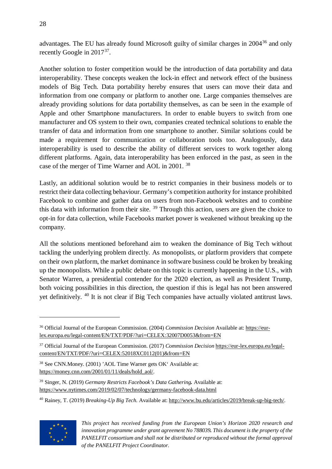advantages. The EU has already found Microsoft guilty of similar charges in 2004<sup>[36](#page-27-0)</sup> and only recently Google in 2017[37.](#page-27-1)

Another solution to foster competition would be the introduction of data portability and data interoperability. These concepts weaken the lock-in effect and network effect of the business models of Big Tech. Data portability hereby ensures that users can move their data and information from one company or platform to another one. Large companies themselves are already providing solutions for data portability themselves, as can be seen in the example of Apple and other Smartphone manufacturers. In order to enable buyers to switch from one manufacturer and OS system to their own, companies created technical solutions to enable the transfer of data and information from one smartphone to another. Similar solutions could be made a requirement for communication or collaboration tools too. Analogously, data interoperability is used to describe the ability of different services to work together along different platforms. Again, data interoperability has been enforced in the past, as seen in the case of the merger of Time Warner and AOL in 2001. [38](#page-27-2)

Lastly, an additional solution would be to restrict companies in their business models or to restrict their data collecting behaviour. Germany's competition authority for instance prohibited Facebook to combine and gather data on users from non-Facebook websites and to combine this data with information from their site.  $39$  Through this action, users are given the choice to opt-in for data collection, while Facebooks market power is weakened without breaking up the company.

All the solutions mentioned beforehand aim to weaken the dominance of Big Tech without tackling the underlying problem directly. As monopolists, or platform providers that compete on their own platform, the market dominance in software business could be broken by breaking up the monopolists. While a public debate on this topic is currently happening in the U.S., with Senator Warren, a presidential contender for the 2020 election, as well as President Trump, both voicing possibilities in this direction, the question if this is legal has not been answered yet definitively. [40](#page-27-4) It is not clear if Big Tech companies have actually violated antitrust laws.

<span id="page-27-4"></span><sup>40</sup> Rainey, T. (2019) *Breaking-Up Big Tech.* Available at: [http://www.bu.edu/articles/2019/break-up-big-tech/.](http://www.bu.edu/articles/2019/break-up-big-tech/)



<span id="page-27-0"></span><sup>36</sup> Official Journal of the European Commission. (2004) *Commission Decision* Available at[: https://eur](https://eur-lex.europa.eu/legal-content/EN/TXT/PDF/?uri=CELEX:32007D0053&from=EN)[lex.europa.eu/legal-content/EN/TXT/PDF/?uri=CELEX:32007D0053&from=EN](https://eur-lex.europa.eu/legal-content/EN/TXT/PDF/?uri=CELEX:32007D0053&from=EN)

<span id="page-27-1"></span><sup>37</sup> Official Journal of the European Commission. (2017) *Commission Decision* [https://eur-lex.europa.eu/legal](https://eur-lex.europa.eu/legal-content/EN/TXT/PDF/?uri=CELEX:52018XC0112(01)&from=EN)[content/EN/TXT/PDF/?uri=CELEX:52018XC0112\(01\)&from=EN](https://eur-lex.europa.eu/legal-content/EN/TXT/PDF/?uri=CELEX:52018XC0112(01)&from=EN)

<span id="page-27-2"></span><sup>38</sup> See CNN.Money. (2001) 'AOL Time Warner gets OK' Available at: [https://money.cnn.com/2001/01/11/deals/hold\\_aol/.](https://money.cnn.com/2001/01/11/deals/hold_aol/)

<span id="page-27-3"></span><sup>39</sup> Singer, N. (2019) *Germany Restricts Facebook's Data Gathering.* Available at: <https://www.nytimes.com/2019/02/07/technology/germany-facebook-data.html>

*This project has received funding from the European Union's Horizon 2020 research and innovation programme under grant agreement No 788039. This document is the property of the PANELFIT consortium and shall not be distributed or reproduced without the formal approval of the PANELFIT Project Coordinator.*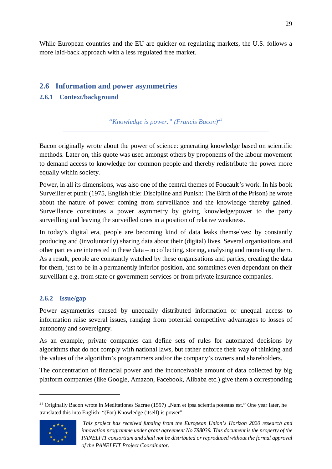While European countries and the EU are quicker on regulating markets, the U.S. follows a more laid-back approach with a less regulated free market.

# <span id="page-28-0"></span>**2.6 Information and power asymmetries**

# <span id="page-28-1"></span>**2.6.1 Context/background**

*"Knowledge is power." (Francis Bacon)[41](#page-28-3)*

Bacon originally wrote about the power of science: generating knowledge based on scientific methods. Later on, this quote was used amongst others by proponents of the labour movement to demand access to knowledge for common people and thereby redistribute the power more equally within society.

Power, in all its dimensions, was also one of the central themes of Foucault's work. In his book Surveiller et punir (1975, English title: Discipline and Punish: The Birth of the Prison) he wrote about the nature of power coming from surveillance and the knowledge thereby gained. Surveillance constitutes a power asymmetry by giving knowledge/power to the party surveilling and leaving the surveilled ones in a position of relative weakness.

In today's digital era, people are becoming kind of data leaks themselves: by constantly producing and (involuntarily) sharing data about their (digital) lives. Several organisations and other parties are interested in these data – in collecting, storing, analysing and monetising them. As a result, people are constantly watched by these organisations and parties, creating the data for them, just to be in a permanently inferior position, and sometimes even dependant on their surveillant e.g. from state or government services or from private insurance companies.

# <span id="page-28-2"></span>**2.6.2 Issue/gap**

Power asymmetries caused by unequally distributed information or unequal access to information raise several issues, ranging from potential competitive advantages to losses of autonomy and sovereignty.

As an example, private companies can define sets of rules for automated decisions by algorithms that do not comply with national laws, but rather enforce their way of thinking and the values of the algorithm's programmers and/or the company's owners and shareholders.

The concentration of financial power and the inconceivable amount of data collected by big platform companies (like Google, Amazon, Facebook, Alibaba etc.) give them a corresponding

<span id="page-28-3"></span> $41$  Originally Bacon wrote in Meditationes Sacrae (1597) "Nam et ipsa scientia potestas est." One year later, he translated this into English: "(For) Knowledge (itself) is power".



*This project has received funding from the European Union's Horizon 2020 research and innovation programme under grant agreement No 788039. This document is the property of the PANELFIT consortium and shall not be distributed or reproduced without the formal approval of the PANELFIT Project Coordinator.*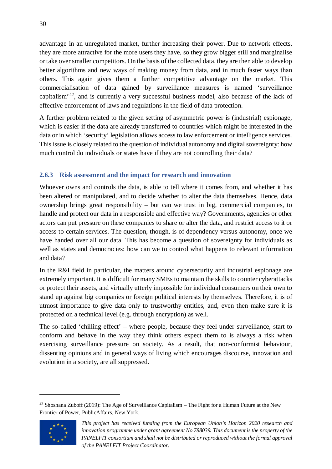advantage in an unregulated market, further increasing their power. Due to network effects, they are more attractive for the more users they have, so they grow bigger still and marginalise or take over smaller competitors. On the basis of the collected data, they are then able to develop better algorithms and new ways of making money from data, and in much faster ways than others. This again gives them a further competitive advantage on the market. This commercialisation of data gained by surveillance measures is named 'surveillance capitalism'[42,](#page-29-1) and is currently a very successful business model, also because of the lack of effective enforcement of laws and regulations in the field of data protection.

A further problem related to the given setting of asymmetric power is (industrial) espionage, which is easier if the data are already transferred to countries which might be interested in the data or in which 'security' legislation allows access to law enforcement or intelligence services. This issue is closely related to the question of individual autonomy and digital sovereignty: how much control do individuals or states have if they are not controlling their data?

### <span id="page-29-0"></span>**2.6.3 Risk assessment and the impact for research and innovation**

Whoever owns and controls the data, is able to tell where it comes from, and whether it has been altered or manipulated, and to decide whether to alter the data themselves. Hence, data ownership brings great responsibility – but can we trust in big, commercial companies, to handle and protect our data in a responsible and effective way? Governments, agencies or other actors can put pressure on these companies to share or alter the data, and restrict access to it or access to certain services. The question, though, is of dependency versus autonomy, once we have handed over all our data. This has become a question of sovereignty for individuals as well as states and democracies: how can we to control what happens to relevant information and data?

In the R&I field in particular, the matters around cybersecurity and industrial espionage are extremely important. It is difficult for many SMEs to maintain the skills to counter cyberattacks or protect their assets, and virtually utterly impossible for individual consumers on their own to stand up against big companies or foreign political interests by themselves. Therefore, it is of utmost importance to give data only to trustworthy entities, and, even then make sure it is protected on a technical level (e.g. through encryption) as well.

The so-called 'chilling effect' – where people, because they feel under surveillance, start to conform and behave in the way they think others expect them to is always a risk when exercising surveillance pressure on society. As a result, that non-conformist behaviour, dissenting opinions and in general ways of living which encourages discourse, innovation and evolution in a society, are all suppressed.

<span id="page-29-1"></span> $42$  Shoshana Zuboff (2019): The Age of Surveillance Capitalism – The Fight for a Human Future at the New Frontier of Power, PublicAffairs, New York.



*This project has received funding from the European Union's Horizon 2020 research and innovation programme under grant agreement No 788039. This document is the property of the PANELFIT consortium and shall not be distributed or reproduced without the formal approval of the PANELFIT Project Coordinator.*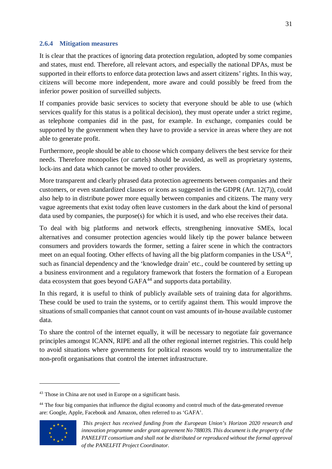#### <span id="page-30-0"></span>**2.6.4 Mitigation measures**

It is clear that the practices of ignoring data protection regulation, adopted by some companies and states, must end. Therefore, all relevant actors, and especially the national DPAs, must be supported in their efforts to enforce data protection laws and assert citizens' rights. In this way, citizens will become more independent, more aware and could possibly be freed from the inferior power position of surveilled subjects.

If companies provide basic services to society that everyone should be able to use (which services qualify for this status is a political decision), they must operate under a strict regime, as telephone companies did in the past, for example. In exchange, companies could be supported by the government when they have to provide a service in areas where they are not able to generate profit.

Furthermore, people should be able to choose which company delivers the best service for their needs. Therefore monopolies (or cartels) should be avoided, as well as proprietary systems, lock-ins and data which cannot be moved to other providers.

More transparent and clearly phrased data protection agreements between companies and their customers, or even standardized clauses or icons as suggested in the GDPR (Art. 12(7)), could also help to in distribute power more equally between companies and citizens. The many very vague agreements that exist today often leave customers in the dark about the kind of personal data used by companies, the purpose(s) for which it is used, and who else receives their data.

To deal with big platforms and network effects, strengthening innovative SMEs, local alternatives and consumer protection agencies would likely tip the power balance between consumers and providers towards the former, setting a fairer scene in which the contractors meet on an equal footing. Other effects of having all the big platform companies in the  $USA^{43}$  $USA^{43}$  $USA^{43}$ . such as financial dependency and the 'knowledge drain' etc., could be countered by setting up a business environment and a regulatory framework that fosters the formation of a European data ecosystem that goes beyond GAFA<sup>[44](#page-30-2)</sup> and supports data portability.

In this regard, it is useful to think of publicly available sets of training data for algorithms. These could be used to train the systems, or to certify against them. This would improve the situations of small companies that cannot count on vast amounts of in-house available customer data.

To share the control of the internet equally, it will be necessary to negotiate fair governance principles amongst ICANN, RIPE and all the other regional internet registries. This could help to avoid situations where governments for political reasons would try to instrumentalize the non-profit organisations that control the internet infrastructure.

<span id="page-30-2"></span><sup>&</sup>lt;sup>44</sup> The four big companies that influence the digital economy and control much of the data-generated revenue are: Google, Apple, Facebook and Amazon, often referred to as 'GAFA'.



<span id="page-30-1"></span><sup>&</sup>lt;sup>43</sup> Those in China are not used in Europe on a significant basis.

*This project has received funding from the European Union's Horizon 2020 research and innovation programme under grant agreement No 788039. This document is the property of the PANELFIT consortium and shall not be distributed or reproduced without the formal approval of the PANELFIT Project Coordinator.*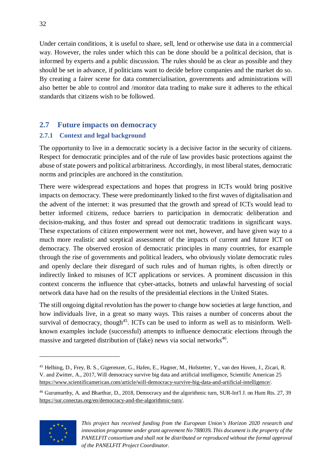Under certain conditions, it is useful to share, sell, lend or otherwise use data in a commercial way. However, the rules under which this can be done should be a political decision, that is informed by experts and a public discussion. The rules should be as clear as possible and they should be set in advance, if politicians want to decide before companies and the market do so. By creating a fairer scene for data commercialisation, governments and administrations will also better be able to control and /monitor data trading to make sure it adheres to the ethical standards that citizens wish to be followed.

# <span id="page-31-0"></span>**2.7 Future impacts on democracy**

# <span id="page-31-1"></span>**2.7.1 Context and legal background**

The opportunity to live in a democratic society is a decisive factor in the security of citizens. Respect for democratic principles and of the rule of law provides basic protections against the abuse of state powers and political arbitrariness. Accordingly, in most liberal states, democratic norms and principles are anchored in the constitution.

There were widespread expectations and hopes that progress in ICTs would bring positive impacts on democracy. These were predominantly linked to the first waves of digitalisation and the advent of the internet: it was presumed that the growth and spread of ICTs would lead to better informed citizens, reduce barriers to participation in democratic deliberation and decision-making, and thus foster and spread out democratic traditions in significant ways. These expectations of citizen empowerment were not met, however, and have given way to a much more realistic and sceptical assessment of the impacts of current and future ICT on democracy. The observed erosion of democratic principles in many countries, for example through the rise of governments and political leaders, who obviously violate democratic rules and openly declare their disregard of such rules and of human rights, is often directly or indirectly linked to misuses of ICT applications or services. A prominent discussion in this context concerns the influence that cyber-attacks, botnets and unlawful harvesting of social network data have had on the results of the presidential elections in the United States.

The still ongoing digital revolution has the power to change how societies at large function, and how individuals live, in a great so many ways. This raises a number of concerns about the survival of democracy, though<sup>45</sup>. ICTs can be used to inform as well as to misinform. Wellknown examples include (successful) attempts to influence democratic elections through the massive and targeted distribution of (fake) news via social networks<sup>[46](#page-31-3)</sup>.

<span id="page-31-3"></span><sup>46</sup> Gurumurthy, A. and Bharthur, D., 2018, Democracy and the algorithmic turn, SUR-Int'l J. on Hum Rts. 27, 39 [https://sur.conectas.org/en/democracy-and-the-algorithmic-turn/.](https://sur.conectas.org/en/democracy-and-the-algorithmic-turn/)



<span id="page-31-2"></span><sup>45</sup> Helbing, D., Frey, B. S., Gigerenzer, G., Hafen, E., Hagner, M., Hofstetter, Y., van den Hoven, J., Zicari, R. V. and Zwitter, A., 2017, Will democracy survive big data and artificial intelligence, Scientific American 25 [https://www.scientificamerican.com/article/will-democracy-survive-big-data-and-artificial-intelligence/.](https://www.scientificamerican.com/article/will-democracy-survive-big-data-and-artificial-intelligence/)

*This project has received funding from the European Union's Horizon 2020 research and innovation programme under grant agreement No 788039. This document is the property of the PANELFIT consortium and shall not be distributed or reproduced without the formal approval of the PANELFIT Project Coordinator.*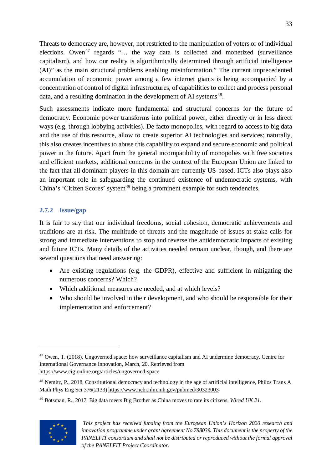Threats to democracy are, however, not restricted to the manipulation of voters or of individual elections. Owen<sup>[47](#page-32-1)</sup> regards "... the way data is collected and monetized (surveillance capitalism), and how our reality is algorithmically determined through artificial intelligence (AI)" as the main structural problems enabling misinformation." The current unprecedented accumulation of economic power among a few internet giants is being accompanied by a concentration of control of digital infrastructures, of capabilities to collect and process personal data, and a resulting domination in the development of AI systems<sup>[48](#page-32-2)</sup>.

Such assessments indicate more fundamental and structural concerns for the future of democracy. Economic power transforms into political power, either directly or in less direct ways (e.g. through lobbying activities). De facto monopolies, with regard to access to big data and the use of this resource, allow to create superior AI technologies and services; naturally, this also creates incentives to abuse this capability to expand and secure economic and political power in the future. Apart from the general incompatibility of monopolies with free societies and efficient markets, additional concerns in the context of the European Union are linked to the fact that all dominant players in this domain are currently US-based. ICTs also plays also an important role in safeguarding the continued existence of undemocratic systems, with China's 'Citizen Scores' system<sup>[49](#page-32-3)</sup> being a prominent example for such tendencies.

### <span id="page-32-0"></span>**2.7.2 Issue/gap**

It is fair to say that our individual freedoms, social cohesion, democratic achievements and traditions are at risk. The multitude of threats and the magnitude of issues at stake calls for strong and immediate interventions to stop and reverse the antidemocratic impacts of existing and future ICTs. Many details of the activities needed remain unclear, though, and there are several questions that need answering:

- Are existing regulations (e.g. the GDPR), effective and sufficient in mitigating the numerous concerns? Which?
- Which additional measures are needed, and at which levels?
- Who should be involved in their development, and who should be responsible for their implementation and enforcement?

<span id="page-32-3"></span><sup>49</sup> Botsman, R., 2017, Big data meets Big Brother as China moves to rate its citizens, *Wired UK 21*.



<span id="page-32-1"></span><sup>47</sup> Owen, T. (2018). Ungoverned space: how surveillance capitalism and AI undermine democracy. Centre for International Governance Innovation, March, 20. Retrieved from <https://www.cigionline.org/articles/ungoverned-space>

<span id="page-32-2"></span><sup>48</sup> Nemitz, P., 2018, Constitutional democracy and technology in the age of artificial intelligence, Philos Trans A Math Phys Eng Sci 376(2133[\) https://www.ncbi.nlm.nih.gov/pubmed/30323003.](https://www.ncbi.nlm.nih.gov/pubmed/30323003)

*This project has received funding from the European Union's Horizon 2020 research and innovation programme under grant agreement No 788039. This document is the property of the PANELFIT consortium and shall not be distributed or reproduced without the formal approval of the PANELFIT Project Coordinator.*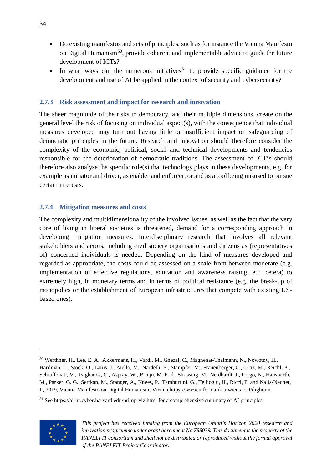- Do existing manifestos and sets of principles, such as for instance the Vienna Manifesto on Digital Humanism<sup>[50](#page-33-2)</sup>, provide coherent and implementable advice to guide the future development of ICTs?
- In what ways can the numerous initiatives<sup>[51](#page-33-3)</sup> to provide specific guidance for the development and use of AI be applied in the context of security and cybersecurity?

#### <span id="page-33-0"></span>**2.7.3 Risk assessment and impact for research and innovation**

The sheer magnitude of the risks to democracy, and their multiple dimensions, create on the general level the risk of focusing on individual aspect(s), with the consequence that individual measures developed may turn out having little or insufficient impact on safeguarding of democratic principles in the future. Research and innovation should therefore consider the complexity of the economic, political, social and technical developments and tendencies responsible for the deterioration of democratic traditions. The assessment of ICT's should therefore also analyse the specific role(s) that technology plays in these developments, e.g. for example as initiator and driver, as enabler and enforcer, or and as a tool being misused to pursue certain interests.

#### <span id="page-33-1"></span>**2.7.4 Mitigation measures and costs**

The complexity and multidimensionality of the involved issues, as well as the fact that the very core of living in liberal societies is threatened, demand for a corresponding approach in developing mitigation measures. Interdisciplinary research that involves all relevant stakeholders and actors, including civil society organisations and citizens as (representatives of) concerned individuals is needed. Depending on the kind of measures developed and regarded as appropriate, the costs could be assessed on a scale from between moderate (e.g. implementation of effective regulations, education and awareness raising, etc. cetera) to extremely high, in monetary terms and in terms of political resistance (e.g. the break-up of monopolies or the establishment of European infrastructures that compete with existing USbased ones).

<span id="page-33-3"></span> $51$  See<https://ai-hr.cyber.harvard.edu/primp-viz.html> for a comprehensive summary of AI principles.



<span id="page-33-2"></span><sup>50</sup> Werthner, H., Lee, E. A., Akkermans, H., Vardi, M., Ghezzi, C., Magnenat-Thalmann, N., Nowotny, H., Hardman, L., Stock, O., Larus, J., Aiello, M., Nardelli, E., Stampfer, M., Frauenberger, C., Ortiz, M., Reichl, P., Schiaffonati, V., Tsigkanos, C., Aspray, W., Bruijn, M. E. d., Strassnig, M., Neidhardt, J., Forgo, N., Hauswirth, M., Parker, G. G., Sertkan, M., Stanger, A., Knees, P., Tamburrini, G., Tellioglu, H., Ricci, F. and Nalis-Neuner, I., 2019, Vienna Manifesto on Digital Humanism, Vienna<https://www.informatik.tuwien.ac.at/dighum/> .

*This project has received funding from the European Union's Horizon 2020 research and innovation programme under grant agreement No 788039. This document is the property of the PANELFIT consortium and shall not be distributed or reproduced without the formal approval of the PANELFIT Project Coordinator.*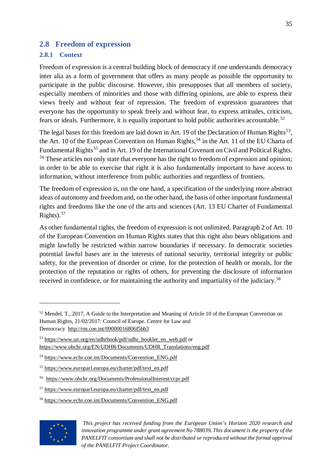### <span id="page-34-0"></span>**2.8 Freedom of expression**

#### <span id="page-34-1"></span>**2.8.1 Context**

Freedom of expression is a central building block of democracy if one understands democracy inter alia as a form of government that offers as many people as possible the opportunity to participate in the public discourse. However, this presupposes that all members of society, especially members of minorities and those with differing opinions, are able to express their views freely and without fear of repression. The freedom of expression guarantees that everyone has the opportunity to speak freely and without fear, to express attitudes, criticism, fears or ideals. Furthermore, it is equally important to hold public authorities accountable.<sup>[52](#page-34-2)</sup>

The legal bases for this freedom are laid down in Art. 19 of the Declaration of Human Rights<sup>[53](#page-34-3)</sup>. the Art. 10 of the European Convention on Human Rights,<sup>[54](#page-34-4)</sup> in the Art. 11 of the EU Charta of Fundamental Rights<sup>[55](#page-34-5)</sup> and in Art. 19 of the International Covenant on Civil and Political Rights. <sup>[56](#page-34-6)</sup> These articles not only state that everyone has the right to freedom of expression and opinion; in order to be able to exercise that right it is also fundamentally important to have access to information, without interference from public authorities and regardless of frontiers.

The freedom of expression is, on the one hand, a specification of the underlying more abstract ideas of autonomy and freedom and, on the other hand, the basis of other important fundamental rights and freedoms like the one of the arts and sciences (Art. 13 EU Charter of Fundamental Rights). $57$ 

As other fundamental rights, the freedom of expression is not unlimited. Paragraph 2 of Art. 10 of the European Convention on Human Rights states that this right also bears obligations and might lawfully be restricted within narrow boundaries if necessary. In democratic societies potential lawful bases are in the interests of national security, territorial integrity or public safety, for the prevention of disorder or crime, for the protection of health or morals, for the protection of the reputation or rights of others, for preventing the disclosure of information received in confidence, or for maintaining the authority and impartiality of the judiciary.<sup>[58](#page-34-8)</sup>

<span id="page-34-8"></span><span id="page-34-7"></span><sup>58</sup> [https://www.echr.coe.int/Documents/Convention\\_ENG.pdf](https://www.echr.coe.int/Documents/Convention_ENG.pdf)



<span id="page-34-2"></span><sup>&</sup>lt;sup>52</sup> Mendel, T., 2017, A Guide to the Interpretation and Meaning of Article 10 of the European Convention on Human Rights, 21/02/2017: Council of Europe. Centre for Law and Democracy <http://rm.coe.int/09000016806f5bb3>

<span id="page-34-3"></span><sup>53</sup> [https://www.un.org/en/udhrbook/pdf/udhr\\_booklet\\_en\\_web.pdf](https://www.un.org/en/udhrbook/pdf/udhr_booklet_en_web.pdf) or [https://www.ohchr.org/EN/UDHR/Documents/UDHR\\_Translations/eng.pdf](https://www.ohchr.org/EN/UDHR/Documents/UDHR_Translations/eng.pdf)

<span id="page-34-4"></span><sup>54</sup> [https://www.echr.coe.int/Documents/Convention\\_ENG.pdf](https://www.echr.coe.int/Documents/Convention_ENG.pdf)

<span id="page-34-5"></span><sup>55</sup> [https://www.europarl.europa.eu/charter/pdf/text\\_en.pdf](https://www.europarl.europa.eu/charter/pdf/text_en.pdf)

<span id="page-34-6"></span><sup>56</sup> <https://www.ohchr.org/Documents/ProfessionalInterest/ccpr.pdf>

<sup>57</sup> [https://www.europarl.europa.eu/charter/pdf/text\\_en.pdf](https://www.europarl.europa.eu/charter/pdf/text_en.pdf)

*This project has received funding from the European Union's Horizon 2020 research and innovation programme under grant agreement No 788039. This document is the property of the PANELFIT consortium and shall not be distributed or reproduced without the formal approval of the PANELFIT Project Coordinator.*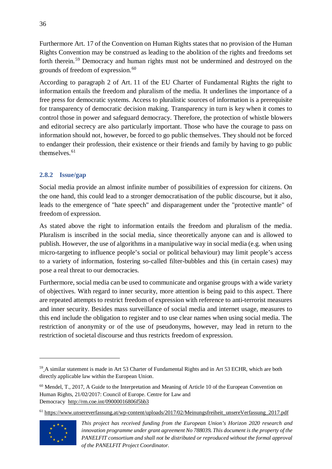Furthermore Art. 17 of the Convention on Human Rights states that no provision of the Human Rights Convention may be construed as leading to the abolition of the rights and freedoms set forth therein.<sup>[59](#page-35-1)</sup> Democracy and human rights must not be undermined and destroyed on the grounds of freedom of expression. [60](#page-35-2)

According to paragraph 2 of Art. 11 of the EU Charter of Fundamental Rights the right to information entails the freedom and pluralism of the media. It underlines the importance of a free press for democratic systems. Access to pluralistic sources of information is a prerequisite for transparency of democratic decision making. Transparency in turn is key when it comes to control those in power and safeguard democracy. Therefore, the protection of whistle blowers and editorial secrecy are also particularly important. Those who have the courage to pass on information should not, however, be forced to go public themselves. They should not be forced to endanger their profession, their existence or their friends and family by having to go public themselves.<sup>[61](#page-35-3)</sup>

### <span id="page-35-0"></span>**2.8.2 Issue/gap**

Social media provide an almost infinite number of possibilities of expression for citizens. On the one hand, this could lead to a stronger democratisation of the public discourse, but it also, leads to the emergence of "hate speech" and disparagement under the "protective mantle" of freedom of expression.

As stated above the right to information entails the freedom and pluralism of the media. Pluralism is inscribed in the social media, since theoretically anyone can and is allowed to publish. However, the use of algorithms in a manipulative way in social media (e.g. when using micro-targeting to influence people's social or political behaviour) may limit people's access to a variety of information, fostering so-called filter-bubbles and this (in certain cases) may pose a real threat to our democracies.

Furthermore, social media can be used to communicate and organise groups with a wide variety of objectives. With regard to inner security, more attention is being paid to this aspect. There are repeated attempts to restrict freedom of expression with reference to anti-terrorist measures and inner security. Besides mass surveillance of social media and internet usage, measures to this end include the obligation to register and to use clear names when using social media. The restriction of anonymity or of the use of pseudonyms, however, may lead in return to the restriction of societal discourse and thus restricts freedom of expression.

<span id="page-35-3"></span><sup>61</sup> [https://www.unsereverfassung.at/wp-content/uploads/2017/02/Meinungsfreiheit\\_unsereVerfassung\\_2017.pdf](https://www.unsereverfassung.at/wp-content/uploads/2017/02/Meinungsfreiheit_unsereVerfassung_2017.pdf)



<span id="page-35-1"></span><sup>&</sup>lt;sup>59</sup> A similar statement is made in Art 53 Charter of Fundamental Rights and in Art 53 ECHR, which are both directly applicable law within the European Union.

<span id="page-35-2"></span><sup>&</sup>lt;sup>60</sup> Mendel, T., 2017, A Guide to the Interpretation and Meaning of Article 10 of the European Convention on Human Rights, 21/02/2017: Council of Europe. Centre for Law and Democracy <http://rm.coe.int/09000016806f5bb3>

*This project has received funding from the European Union's Horizon 2020 research and innovation programme under grant agreement No 788039. This document is the property of the PANELFIT consortium and shall not be distributed or reproduced without the formal approval of the PANELFIT Project Coordinator.*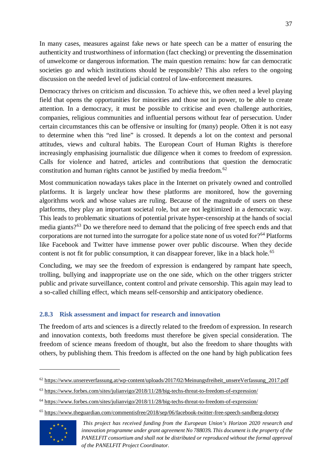In many cases, measures against fake news or hate speech can be a matter of ensuring the authenticity and trustworthiness of information (fact checking) or preventing the dissemination of unwelcome or dangerous information. The main question remains: how far can democratic societies go and which institutions should be responsible? This also refers to the ongoing discussion on the needed level of judicial control of law-enforcement measures.

Democracy thrives on criticism and discussion. To achieve this, we often need a level playing field that opens the opportunities for minorities and those not in power, to be able to create attention. In a democracy, it must be possible to criticise and even challenge authorities, companies, religious communities and influential persons without fear of persecution. Under certain circumstances this can be offensive or insulting for (many) people. Often it is not easy to determine when this "red line" is crossed. It depends a lot on the context and personal attitudes, views and cultural habits. The European Court of Human Rights is therefore increasingly emphasising journalistic due diligence when it comes to freedom of expression. Calls for violence and hatred, articles and contributions that question the democratic constitution and human rights cannot be justified by media freedom.<sup>[62](#page-36-1)</sup>

Most communication nowadays takes place in the Internet on privately owned and controlled platforms. It is largely unclear how these platforms are monitored, how the governing algorithms work and whose values are ruling. Because of the magnitude of users on these platforms, they play an important societal role, but are not legitimized in a democratic way. This leads to problematic situations of potential private hyper-censorship at the hands of social media giants?<sup>[63](#page-36-2)</sup> Do we therefore need to demand that the policing of free speech ends and that corporations are not turned into the surrogate for a police state none of us voted for?<sup>[64](#page-36-3)</sup> Platforms like Facebook and Twitter have immense power over public discourse. When they decide content is not fit for public consumption, it can disappear forever, like in a black hole.<sup>[65](#page-36-4)</sup>

Concluding, we may see the freedom of expression is endangered by rampant hate speech, trolling, bullying and inappropriate use on the one side, which on the other triggers stricter public and private surveillance, content control and private censorship. This again may lead to a so-called chilling effect, which means self-censorship and anticipatory obedience.

# <span id="page-36-0"></span>**2.8.3 Risk assessment and impact for research and innovation**

The freedom of arts and sciences is a directly related to the freedom of expression. In research and innovation contexts, both freedoms must therefore be given special consideration. The freedom of science means freedom of thought, but also the freedom to share thoughts with others, by publishing them. This freedom is affected on the one hand by high publication fees

<span id="page-36-4"></span><span id="page-36-3"></span><sup>65</sup> <https://www.theguardian.com/commentisfree/2018/sep/06/facebook-twitter-free-speech-sandberg-dorsey>



<span id="page-36-1"></span><sup>62</sup> [https://www.unsereverfassung.at/wp-content/uploads/2017/02/Meinungsfreiheit\\_unsereVerfassung\\_2017.pdf](https://www.unsereverfassung.at/wp-content/uploads/2017/02/Meinungsfreiheit_unsereVerfassung_2017.pdf)

<span id="page-36-2"></span><sup>63</sup> <https://www.forbes.com/sites/julianvigo/2018/11/28/big-techs-threat-to-freedom-of-expression/>

<sup>64</sup> <https://www.forbes.com/sites/julianvigo/2018/11/28/big-techs-threat-to-freedom-of-expression/>

*This project has received funding from the European Union's Horizon 2020 research and innovation programme under grant agreement No 788039. This document is the property of the PANELFIT consortium and shall not be distributed or reproduced without the formal approval of the PANELFIT Project Coordinator.*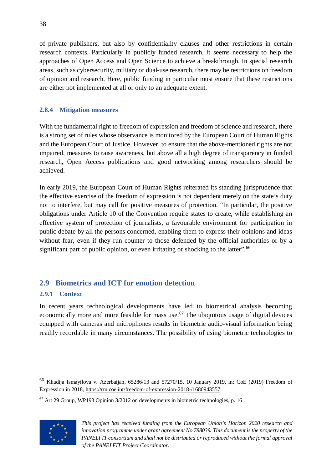of private publishers, but also by confidentiality clauses and other restrictions in certain research contexts. Particularly in publicly funded research, it seems necessary to help the approaches of Open Access and Open Science to achieve a breakthrough. In special research areas, such as cybersecurity, military or dual-use research, there may be restrictions on freedom of opinion and research. Here, public funding in particular must ensure that these restrictions are either not implemented at all or only to an adequate extent.

### <span id="page-37-0"></span>**2.8.4 Mitigation measures**

With the fundamental right to freedom of expression and freedom of science and research, there is a strong set of rules whose observance is monitored by the European Court of Human Rights and the European Court of Justice. However, to ensure that the above-mentioned rights are not impaired, measures to raise awareness, but above all a high degree of transparency in funded research, Open Access publications and good networking among researchers should be achieved.

In early 2019, the European Court of Human Rights reiterated its standing jurisprudence that the effective exercise of the freedom of expression is not dependent merely on the state's duty not to interfere, but may call for positive measures of protection. "In particular, the positive obligations under Article 10 of the Convention require states to create, while establishing an effective system of protection of journalists, a favourable environment for participation in public debate by all the persons concerned, enabling them to express their opinions and ideas without fear, even if they run counter to those defended by the official authorities or by a significant part of public opinion, or even irritating or shocking to the latter".<sup>[66](#page-37-3)</sup>

# <span id="page-37-1"></span>**2.9 Biometrics and ICT for emotion detection**

# <span id="page-37-2"></span>**2.9.1 Context**

In recent years technological developments have led to biometrical analysis becoming economically more and more feasible for mass use.<sup>[67](#page-37-4)</sup> The ubiquitous usage of digital devices equipped with cameras and microphones results in biometric audio-visual information being readily recordable in many circumstances. The possibility of using biometric technologies to

<span id="page-37-4"></span> $67$  Art 29 Group, WP193 Opinion  $3/2012$  on developments in biometric technologies, p. 16



<span id="page-37-3"></span><sup>66</sup> Khadija Ismayilova v. Azerbaijan, 65286/13 and 57270/15, 10 January 2019, in: CoE (2019) Freedom of Expression in 2018, <https://rm.coe.int/freedom-of-expression-2018-/1680943557>

*This project has received funding from the European Union's Horizon 2020 research and innovation programme under grant agreement No 788039. This document is the property of the PANELFIT consortium and shall not be distributed or reproduced without the formal approval of the PANELFIT Project Coordinator.*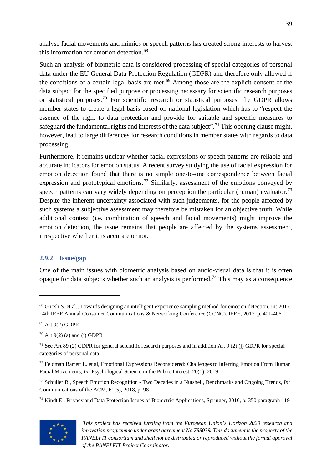analyse facial movements and mimics or speech patterns has created strong interests to harvest this information for emotion detection.<sup>[68](#page-38-1)</sup>

Such an analysis of biometric data is considered processing of special categories of personal data under the EU General Data Protection Regulation (GDPR) and therefore only allowed if the conditions of a certain legal basis are met.<sup>[69](#page-38-2)</sup> Among those are the explicit consent of the data subject for the specified purpose or processing necessary for scientific research purposes or statistical purposes.[70](#page-38-3) For scientific research or statistical purposes, the GDPR allows member states to create a legal basis based on national legislation which has to "respect the essence of the right to data protection and provide for suitable and specific measures to safeguard the fundamental rights and interests of the data subject".<sup>[71](#page-38-4)</sup> This opening clause might, however, lead to large differences for research conditions in member states with regards to data processing.

Furthermore, it remains unclear whether facial expressions or speech patterns are reliable and accurate indicators for emotion status. A recent survey studying the use of facial expression for emotion detection found that there is no simple one-to-one correspondence between facial expression and prototypical emotions.<sup>[72](#page-38-5)</sup> Similarly, assessment of the emotions conveyed by speech patterns can vary widely depending on perception the particular (human) evaluator.<sup>[73](#page-38-6)</sup> Despite the inherent uncertainty associated with such judgements, for the people affected by such systems a subjective assessment may therefore be mistaken for an objective truth. While additional context (i.e. combination of speech and facial movements) might improve the emotion detection, the issue remains that people are affected by the systems assessment, irrespective whether it is accurate or not.

#### <span id="page-38-0"></span>**2.9.2 Issue/gap**

One of the main issues with biometric analysis based on audio-visual data is that it is often opaque for data subjects whether such an analysis is performed.<sup>[74](#page-38-7)</sup> This may as a consequence

<span id="page-38-7"></span><sup>74</sup> Kindt E., Privacy and Data Protection Issues of Biometric Applications, Springer, 2016, p. 350 paragraph 119



*This project has received funding from the European Union's Horizon 2020 research and innovation programme under grant agreement No 788039. This document is the property of the PANELFIT consortium and shall not be distributed or reproduced without the formal approval of the PANELFIT Project Coordinator.*

<span id="page-38-1"></span><sup>&</sup>lt;sup>68</sup> Ghosh S. et al., Towards designing an intelligent experience sampling method for emotion detection. In: 2017 14th IEEE Annual Consumer Communications & Networking Conference (CCNC). IEEE, 2017. p. 401-406.

<span id="page-38-2"></span><sup>69</sup> Art 9(2) GDPR

<span id="page-38-3"></span> $70$  Art 9(2) (a) and (j) GDPR

<span id="page-38-4"></span><sup>&</sup>lt;sup>71</sup> See Art 89 (2) GDPR for general scientific research purposes and in addition Art 9 (2) (j) GDPR for special categories of personal data

<span id="page-38-5"></span> $<sup>72</sup>$  Feldman Barrett L. et al, Emotional Expressions Reconsidered: Challenges to Inferring Emotion From Human</sup> Facial Movements, *In:* Psychological Science in the Public Interest, 20(1), 2019

<span id="page-38-6"></span><sup>73</sup> Schuller B., Speech Emotion Recognition - Two Decades in a Nutshell, Benchmarks and Ongoing Trends, *In:* Communications of the ACM, 61(5), 2018, p. 98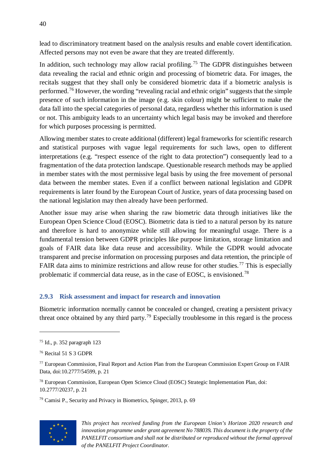lead to discriminatory treatment based on the analysis results and enable covert identification. Affected persons may not even be aware that they are treated differently.

In addition, such technology may allow racial profiling.<sup>[75](#page-39-1)</sup> The GDPR distinguishes between data revealing the racial and ethnic origin and processing of biometric data. For images, the recitals suggest that they shall only be considered biometric data if a biometric analysis is performed.[76](#page-39-2) However, the wording "revealing racial and ethnic origin" suggests that the simple presence of such information in the image (e.g. skin colour) might be sufficient to make the data fall into the special categories of personal data, regardless whether this information is used or not. This ambiguity leads to an uncertainty which legal basis may be invoked and therefore for which purposes processing is permitted.

Allowing member states to create additional (different) legal frameworks for scientific research and statistical purposes with vague legal requirements for such laws, open to different interpretations (e.g. "respect essence of the right to data protection") consequently lead to a fragmentation of the data protection landscape. Questionable research methods may be applied in member states with the most permissive legal basis by using the free movement of personal data between the member states. Even if a conflict between national legislation and GDPR requirements is later found by the European Court of Justice, years of data processing based on the national legislation may then already have been performed.

Another issue may arise when sharing the raw biometric data through initiatives like the European Open Science Cloud (EOSC). Biometric data is tied to a natural person by its nature and therefore is hard to anonymize while still allowing for meaningful usage. There is a fundamental tension between GDPR principles like purpose limitation, storage limitation and goals of FAIR data like data reuse and accessibility. While the GDPR would advocate transparent and precise information on processing purposes and data retention, the principle of FAIR data aims to minimize restrictions and allow reuse for other studies.<sup>[77](#page-39-3)</sup> This is especially problematic if commercial data reuse, as in the case of EOSC, is envisioned.[78](#page-39-4)

# <span id="page-39-0"></span>**2.9.3 Risk assessment and impact for research and innovation**

Biometric information normally cannot be concealed or changed, creating a persistent privacy threat once obtained by any third party.<sup>[79](#page-39-5)</sup> Especially troublesome in this regard is the process

 $\overline{a}$ 

<span id="page-39-4"></span><sup>78</sup> European Commission, European Open Science Cloud (EOSC) Strategic Implementation Plan, doi: 10.2777/20237, p. 21

<span id="page-39-5"></span><sup>79</sup> Camisi P., Security and Privacy in Biometrics, Spinger, 2013, p. 69



*This project has received funding from the European Union's Horizon 2020 research and innovation programme under grant agreement No 788039. This document is the property of the PANELFIT consortium and shall not be distributed or reproduced without the formal approval of the PANELFIT Project Coordinator.*

<span id="page-39-1"></span><sup>75</sup> Id., p. 352 paragraph 123

<span id="page-39-2"></span><sup>76</sup> Recital 51 S 3 GDPR

<span id="page-39-3"></span><sup>&</sup>lt;sup>77</sup> European Commission, Final Report and Action Plan from the European Commission Expert Group on FAIR Data, doi:10.2777/54599, p. 21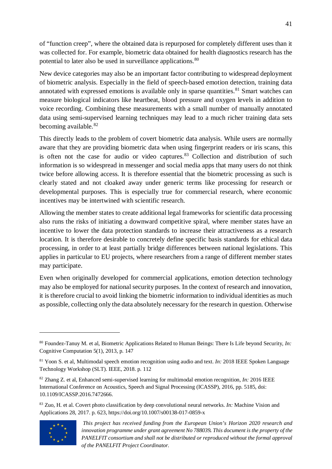of "function creep", where the obtained data is repurposed for completely different uses than it was collected for. For example, biometric data obtained for health diagnostics research has the potential to later also be used in surveillance applications.<sup>[80](#page-40-0)</sup>

New device categories may also be an important factor contributing to widespread deployment of biometric analysis. Especially in the field of speech-based emotion detection, training data annotated with expressed emotions is available only in sparse quantities.<sup>[81](#page-40-1)</sup> Smart watches can measure biological indicators like heartbeat, blood pressure and oxygen levels in addition to voice recording. Combining these measurements with a small number of manually annotated data using semi-supervised learning techniques may lead to a much richer training data sets becoming available. $82$ 

This directly leads to the problem of covert biometric data analysis. While users are normally aware that they are providing biometric data when using fingerprint readers or iris scans, this is often not the case for audio or video captures. $83$  Collection and distribution of such information is so widespread in messenger and social media apps that many users do not think twice before allowing access. It is therefore essential that the biometric processing as such is clearly stated and not cloaked away under generic terms like processing for research or developmental purposes. This is especially true for commercial research, where economic incentives may be intertwined with scientific research.

Allowing the member states to create additional legal frameworks for scientific data processing also runs the risks of initiating a downward competitive spiral, where member states have an incentive to lower the data protection standards to increase their attractiveness as a research location. It is therefore desirable to concretely define specific basis standards for ethical data processing, in order to at least partially bridge differences between national legislations. This applies in particular to EU projects, where researchers from a range of different member states may participate.

Even when originally developed for commercial applications, emotion detection technology may also be employed for national security purposes. In the context of research and innovation, it is therefore crucial to avoid linking the biometric information to individual identities as much as possible, collecting only the data absolutely necessary for the research in question. Otherwise

<span id="page-40-3"></span><sup>83</sup> Zuo, H. et al. Covert photo classification by deep convolutional neural networks. *In:* Machine Vision and Applications 28, 2017. p. 623, https://doi.org/10.1007/s00138-017-0859-x



<span id="page-40-0"></span><sup>80</sup> Foundez-Tanuy M. et al, Biometric Applications Related to Human Beings: There Is Life beyond Security*, In:* Cognitive Computation 5(1), 2013, p. 147

<span id="page-40-1"></span><sup>81</sup> Yoon S. et al, Multimodal speech emotion recognition using audio and text. *In:* 2018 IEEE Spoken Language Technology Workshop (SLT). IEEE, 2018. p. 112

<span id="page-40-2"></span><sup>82</sup> Zhang Z. et al, Enhanced semi-supervised learning for multimodal emotion recognition, *In:* 2016 IEEE International Conference on Acoustics, Speech and Signal Processing (ICASSP), 2016, pp. 5185, doi: 10.1109/ICASSP.2016.7472666.

*This project has received funding from the European Union's Horizon 2020 research and innovation programme under grant agreement No 788039. This document is the property of the PANELFIT consortium and shall not be distributed or reproduced without the formal approval of the PANELFIT Project Coordinator.*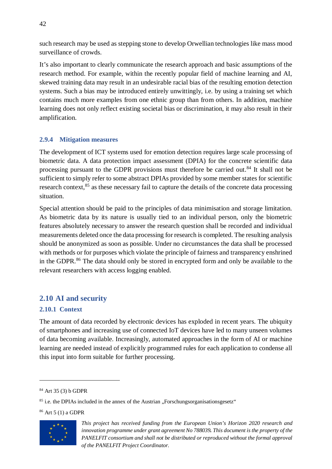such research may be used as stepping stone to develop Orwellian technologies like mass mood surveillance of crowds.

It's also important to clearly communicate the research approach and basic assumptions of the research method. For example, within the recently popular field of machine learning and AI, skewed training data may result in an undesirable racial bias of the resulting emotion detection systems. Such a bias may be introduced entirely unwittingly, i.e. by using a training set which contains much more examples from one ethnic group than from others. In addition, machine learning does not only reflect existing societal bias or discrimination, it may also result in their amplification.

# <span id="page-41-0"></span>**2.9.4 Mitigation measures**

The development of ICT systems used for emotion detection requires large scale processing of biometric data. A data protection impact assessment (DPIA) for the concrete scientific data processing pursuant to the GDPR provisions must therefore be carried out.<sup>[84](#page-41-3)</sup> It shall not be sufficient to simply refer to some abstract DPIAs provided by some member states for scientific research context,<sup>[85](#page-41-4)</sup> as these necessary fail to capture the details of the concrete data processing situation.

Special attention should be paid to the principles of data minimisation and storage limitation. As biometric data by its nature is usually tied to an individual person, only the biometric features absolutely necessary to answer the research question shall be recorded and individual measurements deleted once the data processing for research is completed. The resulting analysis should be anonymized as soon as possible. Under no circumstances the data shall be processed with methods or for purposes which violate the principle of fairness and transparency enshrined in the GDPR.<sup>[86](#page-41-5)</sup> The data should only be stored in encrypted form and only be available to the relevant researchers with access logging enabled.

# <span id="page-41-1"></span>**2.10 AI and security**

# <span id="page-41-2"></span>**2.10.1 Context**

The amount of data recorded by electronic devices has exploded in recent years. The ubiquity of smartphones and increasing use of connected IoT devices have led to many unseen volumes of data becoming available. Increasingly, automated approaches in the form of AI or machine learning are needed instead of explicitly programmed rules for each application to condense all this input into form suitable for further processing.

<span id="page-41-5"></span><span id="page-41-4"></span><sup>86</sup> Art 5 (1) a GDPR



*This project has received funding from the European Union's Horizon 2020 research and innovation programme under grant agreement No 788039. This document is the property of the PANELFIT consortium and shall not be distributed or reproduced without the formal approval of the PANELFIT Project Coordinator.*

<span id="page-41-3"></span><sup>84</sup> Art 35 (3) b GDPR

 $85$  i.e. the DPIAs included in the annex of the Austrian . Forschungsorganisationsgesetz.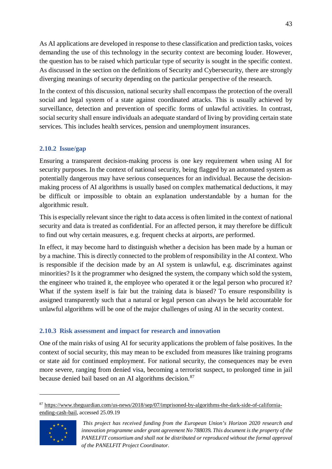As AI applications are developed in response to these classification and prediction tasks, voices demanding the use of this technology in the security context are becoming louder. However, the question has to be raised which particular type of security is sought in the specific context. As discussed in the section on the definitions of Security and Cybersecurity, there are strongly diverging meanings of security depending on the particular perspective of the research.

In the context of this discussion, national security shall encompass the protection of the overall social and legal system of a state against coordinated attacks. This is usually achieved by surveillance, detection and prevention of specific forms of unlawful activities. In contrast, social security shall ensure individuals an adequate standard of living by providing certain state services. This includes health services, pension and unemployment insurances.

# <span id="page-42-0"></span>**2.10.2 Issue/gap**

Ensuring a transparent decision-making process is one key requirement when using AI for security purposes. In the context of national security, being flagged by an automated system as potentially dangerous may have serious consequences for an individual. Because the decisionmaking process of AI algorithms is usually based on complex mathematical deductions, it may be difficult or impossible to obtain an explanation understandable by a human for the algorithmic result.

This is especially relevant since the right to data access is often limited in the context of national security and data is treated as confidential. For an affected person, it may therefore be difficult to find out why certain measures, e.g. frequent checks at airports, are performed.

In effect, it may become hard to distinguish whether a decision has been made by a human or by a machine. This is directly connected to the problem of responsibility in the AI context. Who is responsible if the decision made by an AI system is unlawful, e.g. discriminates against minorities? Is it the programmer who designed the system, the company which sold the system, the engineer who trained it, the employee who operated it or the legal person who procured it? What if the system itself is fair but the training data is biased? To ensure responsibility is assigned transparently such that a natural or legal person can always be held accountable for unlawful algorithms will be one of the major challenges of using AI in the security context.

# <span id="page-42-1"></span>**2.10.3 Risk assessment and impact for research and innovation**

One of the main risks of using AI for security applications the problem of false positives. In the context of social security, this may mean to be excluded from measures like training programs or state aid for continued employment. For national security, the consequences may be even more severe, ranging from denied visa, becoming a terrorist suspect, to prolonged time in jail because denied bail based on an AI algorithms decision.<sup>[87](#page-42-2)</sup>

<span id="page-42-2"></span><sup>87</sup> [https://www.theguardian.com/us-news/2018/sep/07/imprisoned-by-algorithms-the-dark-side-of-california](https://www.theguardian.com/us-news/2018/sep/07/imprisoned-by-algorithms-the-dark-side-of-california-ending-cash-bail)[ending-cash-bail,](https://www.theguardian.com/us-news/2018/sep/07/imprisoned-by-algorithms-the-dark-side-of-california-ending-cash-bail) accessed 25.09.19



*This project has received funding from the European Union's Horizon 2020 research and innovation programme under grant agreement No 788039. This document is the property of the PANELFIT consortium and shall not be distributed or reproduced without the formal approval of the PANELFIT Project Coordinator.*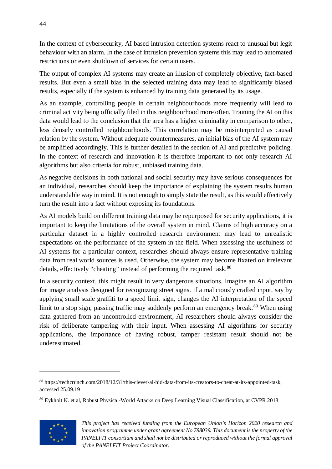In the context of cybersecurity, AI based intrusion detection systems react to unusual but legit behaviour with an alarm. In the case of intrusion prevention systems this may lead to automated restrictions or even shutdown of services for certain users.

The output of complex AI systems may create an illusion of completely objective, fact-based results. But even a small bias in the selected training data may lead to significantly biased results, especially if the system is enhanced by training data generated by its usage.

As an example, controlling people in certain neighbourhoods more frequently will lead to criminal activity being officially filed in this neighbourhood more often. Training the AI on this data would lead to the conclusion that the area has a higher criminality in comparison to other, less densely controlled neighbourhoods. This correlation may be misinterpreted as causal relation by the system. Without adequate countermeasures, an initial bias of the AI system may be amplified accordingly. This is further detailed in the section of AI and predictive policing. In the context of research and innovation it is therefore important to not only research AI algorithms but also criteria for robust, unbiased training data.

As negative decisions in both national and social security may have serious consequences for an individual, researches should keep the importance of explaining the system results human understandable way in mind. It is not enough to simply state the result, as this would effectively turn the result into a fact without exposing its foundations.

As AI models build on different training data may be repurposed for security applications, it is important to keep the limitations of the overall system in mind. Claims of high accuracy on a particular dataset in a highly controlled research environment may lead to unrealistic expectations on the performance of the system in the field. When assessing the usefulness of AI systems for a particular context, researches should always ensure representative training data from real world sources is used. Otherwise, the system may become fixated on irrelevant details, effectively "cheating" instead of performing the required task.<sup>[88](#page-43-0)</sup>

In a security context, this might result in very dangerous situations. Imagine an AI algorithm for image analysis designed for recognizing street signs. If a maliciously crafted input, say by applying small scale graffiti to a speed limit sign, changes the AI interpretation of the speed limit to a stop sign, passing traffic may suddenly perform an emergency break.<sup>[89](#page-43-1)</sup> When using data gathered from an uncontrolled environment, AI researchers should always consider the risk of deliberate tampering with their input. When assessing AI algorithms for security applications, the importance of having robust, tamper resistant result should not be underestimated.

<span id="page-43-1"></span><sup>89</sup> Eykholt K. et al, Robust Physical-World Attacks on Deep Learning Visual Classification, at CVPR 2018



<span id="page-43-0"></span><sup>88</sup> [https://techcrunch.com/2018/12/31/this-clever-ai-hid-data-from-its-creators-to-cheat-at-its-appointed-task,](https://techcrunch.com/2018/12/31/this-clever-ai-hid-data-from-its-creators-to-cheat-at-its-appointed-task) accessed 25.09.19

*This project has received funding from the European Union's Horizon 2020 research and innovation programme under grant agreement No 788039. This document is the property of the PANELFIT consortium and shall not be distributed or reproduced without the formal approval of the PANELFIT Project Coordinator.*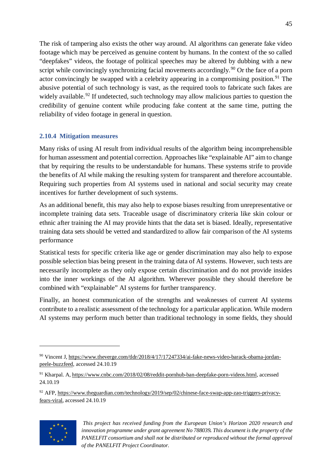The risk of tampering also exists the other way around. AI algorithms can generate fake video footage which may be perceived as genuine content by humans. In the context of the so called "deepfakes" videos, the footage of political speeches may be altered by dubbing with a new script while convincingly synchronizing facial movements accordingly.<sup>[90](#page-44-1)</sup> Or the face of a porn actor convincingly be swapped with a celebrity appearing in a compromising position.<sup>[91](#page-44-2)</sup> The abusive potential of such technology is vast, as the required tools to fabricate such fakes are widely available.<sup>[92](#page-44-3)</sup> If undetected, such technology may allow malicious parties to question the credibility of genuine content while producing fake content at the same time, putting the reliability of video footage in general in question.

### <span id="page-44-0"></span>**2.10.4 Mitigation measures**

Many risks of using AI result from individual results of the algorithm being incomprehensible for human assessment and potential correction. Approaches like "explainable AI" aim to change that by requiring the results to be understandable for humans. These systems strife to provide the benefits of AI while making the resulting system for transparent and therefore accountable. Requiring such properties from AI systems used in national and social security may create incentives for further development of such systems.

As an additional benefit, this may also help to expose biases resulting from unrepresentative or incomplete training data sets. Traceable usage of discriminatory criteria like skin colour or ethnic after training the AI may provide hints that the data set is biased. Ideally, representative training data sets should be vetted and standardized to allow fair comparison of the AI systems performance

Statistical tests for specific criteria like age or gender discrimination may also help to expose possible selection bias being present in the training data of AI systems. However, such tests are necessarily incomplete as they only expose certain discrimination and do not provide insides into the inner workings of the AI algorithm. Wherever possible they should therefore be combined with "explainable" AI systems for further transparency.

Finally, an honest communication of the strengths and weaknesses of current AI systems contribute to a realistic assessment of the technology for a particular application. While modern AI systems may perform much better than traditional technology in some fields, they should

<span id="page-44-3"></span><sup>92</sup> AFP, [https://www.theguardian.com/technology/2019/sep/02/chinese-face-swap-app-zao-triggers-privacy](https://www.theguardian.com/technology/2019/sep/02/chinese-face-swap-app-zao-triggers-privacy-fears-viral)[fears-viral,](https://www.theguardian.com/technology/2019/sep/02/chinese-face-swap-app-zao-triggers-privacy-fears-viral) accessed 24.10.19



<span id="page-44-1"></span><sup>90</sup> Vincent J, [https://www.theverge.com/tldr/2018/4/17/17247334/ai-fake-news-video-barack-obama-jordan](https://www.theverge.com/tldr/2018/4/17/17247334/ai-fake-news-video-barack-obama-jordan-peele-buzzfeed)[peele-buzzfeed,](https://www.theverge.com/tldr/2018/4/17/17247334/ai-fake-news-video-barack-obama-jordan-peele-buzzfeed) accessed 24.10.19

<span id="page-44-2"></span><sup>91</sup> Kharpal. A[, https://www.cnbc.com/2018/02/08/reddit-pornhub-ban-deepfake-porn-videos.html,](https://www.cnbc.com/2018/02/08/reddit-pornhub-ban-deepfake-porn-videos.html) accessed 24.10.19

*This project has received funding from the European Union's Horizon 2020 research and innovation programme under grant agreement No 788039. This document is the property of the PANELFIT consortium and shall not be distributed or reproduced without the formal approval of the PANELFIT Project Coordinator.*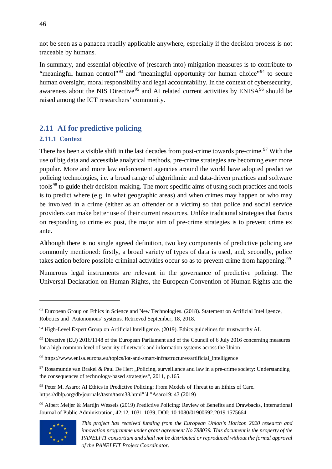not be seen as a panacea readily applicable anywhere, especially if the decision process is not traceable by humans.

In summary, and essential objective of (research into) mitigation measures is to contribute to "meaningful human control"<sup>[93](#page-45-2)</sup> and "meaningful opportunity for human choice"<sup>[94](#page-45-3)</sup> to secure human oversight, moral responsibility and legal accountability. In the context of cybersecurity, awareness about the NIS Directive<sup>[95](#page-45-4)</sup> and AI related current activities by  $ENISA<sup>96</sup>$  $ENISA<sup>96</sup>$  $ENISA<sup>96</sup>$  should be raised among the ICT researchers' community.

# <span id="page-45-0"></span>**2.11 AI for predictive policing**

# <span id="page-45-1"></span>**2.11.1 Context**

There has been a visible shift in the last decades from post-crime towards pre-crime.<sup>[97](#page-45-6)</sup> With the use of big data and accessible analytical methods, pre-crime strategies are becoming ever more popular. More and more law enforcement agencies around the world have adopted predictive policing technologies, i.e. a broad range of algorithmic and data-driven practices and software tools<sup>[98](#page-45-7)</sup> to guide their decision-making. The more specific aims of using such practices and tools is to predict where (e.g. in what geographic areas) and when crimes may happen or who may be involved in a crime (either as an offender or a victim) so that police and social service providers can make better use of their current resources. Unlike traditional strategies that focus on responding to crime ex post, the major aim of pre-crime strategies is to prevent crime ex ante.

Although there is no single agreed definition, two key components of predictive policing are commonly mentioned: firstly, a broad variety of types of data is used, and, secondly, police takes action before possible criminal activities occur so as to prevent crime from happening.<sup>[99](#page-45-8)</sup>

Numerous legal instruments are relevant in the governance of predictive policing. The Universal Declaration on Human Rights, the European Convention of Human Rights and the

<span id="page-45-8"></span><sup>99</sup> Albert Meijer & Martijn Wessels (2019) Predictive Policing: Review of Benefits and Drawbacks, International Journal of Public Administration, 42:12, 1031-1039, DOI: 10.1080/01900692.2019.1575664



<span id="page-45-2"></span><sup>93</sup> European Group on Ethics in Science and New Technologies. (2018). Statement on Artificial Intelligence, Robotics and 'Autonomous' systems. Retrieved September, 18, 2018.

<span id="page-45-3"></span><sup>&</sup>lt;sup>94</sup> High-Level Expert Group on Artificial Intelligence. (2019). Ethics guidelines for trustworthy AI.

<span id="page-45-4"></span><sup>&</sup>lt;sup>95</sup> Directive (EU) 2016/1148 of the European Parliament and of the Council of 6 July 2016 concerning measures for a high common level of security of network and information systems across the Union

<span id="page-45-5"></span><sup>96</sup> https://www.enisa.europa.eu/topics/iot-and-smart-infrastructures/artificial\_intelligence

<span id="page-45-6"></span><sup>&</sup>lt;sup>97</sup> Rosamunde van Brakel & Paul De Hert "Policing, surveillance and law in a pre-crime society: Understanding the consequences of technology-based strategies", 2011, p.165.

<span id="page-45-7"></span><sup>98</sup> Peter M. Asaro: AI Ethics in Predictive Policing: From Models of Threat to an Ethics of Care. https://dblp.org/db/journals/tasm/tasm38.html" \l "Asaro19: 43 (2019)

*This project has received funding from the European Union's Horizon 2020 research and innovation programme under grant agreement No 788039. This document is the property of the PANELFIT consortium and shall not be distributed or reproduced without the formal approval of the PANELFIT Project Coordinator.*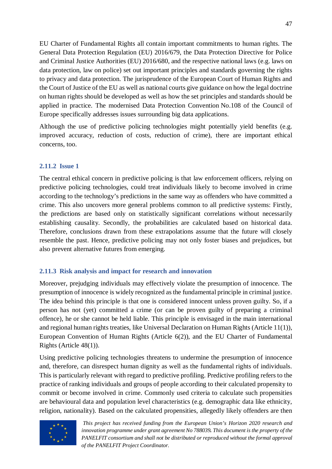EU Charter of Fundamental Rights all contain important commitments to human rights. The General Data Protection Regulation (EU) 2016/679, the Data Protection Directive for Police and Criminal Justice Authorities (EU) 2016/680, and the respective national laws (e.g. laws on data protection, law on police) set out important principles and standards governing the rights to privacy and data protection. The jurisprudence of the European Court of Human Rights and the Court of Justice of the EU as well as national courts give guidance on how the legal doctrine on human rights should be developed as well as how the set principles and standards should be applied in practice. The modernised Data Protection Convention No.108 of the Council of Europe specifically addresses issues surrounding big data applications.

Although the use of predictive policing technologies might potentially yield benefits (e.g. improved accuracy, reduction of costs, reduction of crime), there are important ethical concerns, too.

#### <span id="page-46-0"></span>**2.11.2 Issue 1**

The central ethical concern in predictive policing is that law enforcement officers, relying on predictive policing technologies, could treat individuals likely to become involved in crime according to the technology's predictions in the same way as offenders who have committed a crime. This also uncovers more general problems common to all predictive systems: Firstly, the predictions are based only on statistically significant correlations without necessarily establishing causality. Secondly, the probabilities are calculated based on historical data. Therefore, conclusions drawn from these extrapolations assume that the future will closely resemble the past. Hence, predictive policing may not only foster biases and prejudices, but also prevent alternative futures from emerging.

#### <span id="page-46-1"></span>**2.11.3 Risk analysis and impact for research and innovation**

Moreover, prejudging individuals may effectively violate the presumption of innocence. The presumption of innocence is widely recognized as the fundamental principle in criminal justice. The idea behind this principle is that one is considered innocent unless proven guilty. So, if a person has not (yet) committed a crime (or can be proven guilty of preparing a criminal offence), he or she cannot be held liable. This principle is envisaged in the main international and regional human rights treaties, like Universal Declaration on Human Rights (Article 11(1)), European Convention of Human Rights (Article 6(2)), and the EU Charter of Fundamental Rights (Article 48(1)).

Using predictive policing technologies threatens to undermine the presumption of innocence and, therefore, can disrespect human dignity as well as the fundamental rights of individuals. This is particularly relevant with regard to predictive profiling. Predictive profiling refers to the practice of ranking individuals and groups of people according to their calculated propensity to commit or become involved in crime. Commonly used criteria to calculate such propensities are behavioural data and population level characteristics (e.g. demographic data like ethnicity, religion, nationality). Based on the calculated propensities, allegedly likely offenders are then

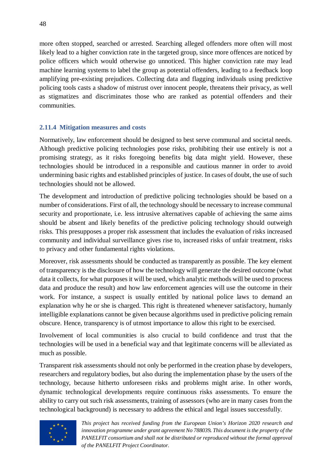more often stopped, searched or arrested. Searching alleged offenders more often will most likely lead to a higher conviction rate in the targeted group, since more offences are noticed by police officers which would otherwise go unnoticed. This higher conviction rate may lead machine learning systems to label the group as potential offenders, leading to a feedback loop amplifying pre-existing prejudices. Collecting data and flagging individuals using predictive policing tools casts a shadow of mistrust over innocent people, threatens their privacy, as well as stigmatizes and discriminates those who are ranked as potential offenders and their communities.

#### <span id="page-47-0"></span>**2.11.4 Mitigation measures and costs**

Normatively, law enforcement should be designed to best serve communal and societal needs. Although predictive policing technologies pose risks, prohibiting their use entirely is not a promising strategy, as it risks foregoing benefits big data might yield. However, these technologies should be introduced in a responsible and cautious manner in order to avoid undermining basic rights and established principles of justice. In cases of doubt, the use of such technologies should not be allowed.

The development and introduction of predictive policing technologies should be based on a number of considerations. First of all, the technology should be necessary to increase communal security and proportionate, i.e. less intrusive alternatives capable of achieving the same aims should be absent and likely benefits of the predictive policing technology should outweigh risks. This presupposes a proper risk assessment that includes the evaluation of risks increased community and individual surveillance gives rise to, increased risks of unfair treatment, risks to privacy and other fundamental rights violations.

Moreover, risk assessments should be conducted as transparently as possible. The key element of transparency is the disclosure of how the technology will generate the desired outcome (what data it collects, for what purposes it will be used, which analytic methods will be used to process data and produce the result) and how law enforcement agencies will use the outcome in their work. For instance, a suspect is usually entitled by national police laws to demand an explanation why he or she is charged. This right is threatened whenever satisfactory, humanly intelligible explanations cannot be given because algorithms used in predictive policing remain obscure. Hence, transparency is of utmost importance to allow this right to be exercised.

Involvement of local communities is also crucial to build confidence and trust that the technologies will be used in a beneficial way and that legitimate concerns will be alleviated as much as possible.

Transparent risk assessments should not only be performed in the creation phase by developers, researchers and regulatory bodies, but also during the implementation phase by the users of the technology, because hitherto unforeseen risks and problems might arise. In other words, dynamic technological developments require continuous risks assessments. To ensure the ability to carry out such risk assessments, training of assessors (who are in many cases from the technological background) is necessary to address the ethical and legal issues successfully.

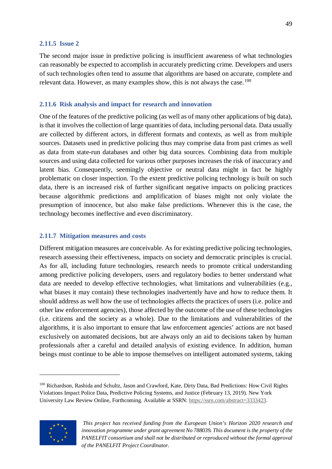#### <span id="page-48-0"></span>**2.11.5 Issue 2**

The second major issue in predictive policing is insufficient awareness of what technologies can reasonably be expected to accomplish in accurately predicting crime. Developers and users of such technologies often tend to assume that algorithms are based on accurate, complete and relevant data. However, as many examples show, this is not always the case.<sup>[100](#page-48-3)</sup>

#### <span id="page-48-1"></span>**2.11.6 Risk analysis and impact for research and innovation**

One of the features of the predictive policing (as well as of many other applications of big data), is that it involves the collection of large quantities of data, including personal data. Data usually are collected by different actors, in different formats and contexts, as well as from multiple sources. Datasets used in predictive policing thus may comprise data from past crimes as well as data from state-run databases and other big data sources. Combining data from multiple sources and using data collected for various other purposes increases the risk of inaccuracy and latent bias. Consequently, seemingly objective or neutral data might in fact be highly problematic on closer inspection. To the extent predictive policing technology is built on such data, there is an increased risk of further significant negative impacts on policing practices because algorithmic predictions and amplification of biases might not only violate the presumption of innocence, but also make false predictions. Whenever this is the case, the technology becomes ineffective and even discriminatory.

#### <span id="page-48-2"></span>**2.11.7 Mitigation measures and costs**

Different mitigation measures are conceivable. As for existing predictive policing technologies, research assessing their effectiveness, impacts on society and democratic principles is crucial. As for all, including future technologies, research needs to promote critical understanding among predictive policing developers, users and regulatory bodies to better understand what data are needed to develop effective technologies, what limitations and vulnerabilities (e.g., what biases it may contain) these technologies inadvertently have and how to reduce them. It should address as well how the use of technologies affects the practices of users (i.e. police and other law enforcement agencies), those affected by the outcome of the use of these technologies (i.e. citizens and the society as a whole). Due to the limitations and vulnerabilities of the algorithms, it is also important to ensure that law enforcement agencies' actions are not based exclusively on automated decisions, but are always only an aid to decisions taken by human professionals after a careful and detailed analysis of existing evidence*.* In addition, human beings must continue to be able to impose themselves on intelligent automated systems, taking

<span id="page-48-3"></span><sup>100</sup> Richardson, Rashida and Schultz, Jason and Crawford, Kate, Dirty Data, Bad Predictions: How Civil Rights Violations Impact Police Data, Predictive Policing Systems, and Justice (February 13, 2019). New York University Law Review Online, Forthcoming. Available at SSRN: [https://ssrn.com/abstract=3333423.](https://ssrn.com/abstract=3333423)



*This project has received funding from the European Union's Horizon 2020 research and innovation programme under grant agreement No 788039. This document is the property of the PANELFIT consortium and shall not be distributed or reproduced without the formal approval of the PANELFIT Project Coordinator.*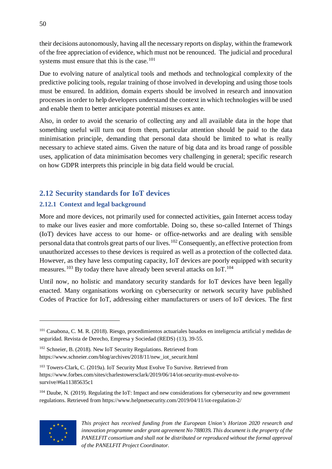their decisions autonomously, having all the necessary reports on display, within the framework of the free appreciation of evidence, which must not be renounced. The judicial and procedural systems must ensure that this is the case.<sup>[101](#page-49-2)</sup>

Due to evolving nature of analytical tools and methods and technological complexity of the predictive policing tools, regular training of those involved in developing and using those tools must be ensured. In addition, domain experts should be involved in research and innovation processes in order to help developers understand the context in which technologies will be used and enable them to better anticipate potential misuses ex ante.

Also, in order to avoid the scenario of collecting any and all available data in the hope that something useful will turn out from them, particular attention should be paid to the data minimisation principle, demanding that personal data should be limited to what is really necessary to achieve stated aims. Given the nature of big data and its broad range of possible uses, application of data minimisation becomes very challenging in general; specific research on how GDPR interprets this principle in big data field would be crucial.

# <span id="page-49-0"></span>**2.12 Security standards for IoT devices**

# <span id="page-49-1"></span>**2.12.1 Context and legal background**

More and more devices, not primarily used for connected activities, gain Internet access today to make our lives easier and more comfortable. Doing so, these so-called Internet of Things (IoT) devices have access to our home- or office-networks and are dealing with sensible personal data that controls great parts of our lives.[102](#page-49-3) Consequently, an effective protection from unauthorized accesses to these devices is required as well as a protection of the collected data. However, as they have less computing capacity, IoT devices are poorly equipped with security measures.<sup>[103](#page-49-4)</sup> By today there have already been several attacks on IoT.<sup>[104](#page-49-5)</sup>

Until now, no holistic and mandatory security standards for IoT devices have been legally enacted. Many organisations working on cybersecurity or network security have published Codes of Practice for IoT, addressing either manufacturers or users of IoT devices. The first

<span id="page-49-5"></span><sup>&</sup>lt;sup>104</sup> Daube, N. (2019). Regulating the IoT: Impact and new considerations for cybersecurity and new government regulations. Retrieved from https://www.helpnetsecurity.com/2019/04/11/iot-regulation-2/



<span id="page-49-2"></span><sup>101</sup> Casabona, C. M. R. (2018). Riesgo, procedimientos actuariales basados en inteligencia artificial y medidas de seguridad. Revista de Derecho, Empresa y Sociedad (REDS) (13), 39-55.

<span id="page-49-3"></span><sup>102</sup> Schneier, B. (2018). New IoT Security Regulations. Retrieved from https://www.schneier.com/blog/archives/2018/11/new\_iot\_securit.html

<span id="page-49-4"></span><sup>103</sup> Towers-Clark, C. (2019a). IoT Security Must Evolve To Survive. Retrieved from https://www.forbes.com/sites/charlestowersclark/2019/06/14/iot-security-must-evolve-tosurvive/#6a11385635c1

*This project has received funding from the European Union's Horizon 2020 research and innovation programme under grant agreement No 788039. This document is the property of the PANELFIT consortium and shall not be distributed or reproduced without the formal approval of the PANELFIT Project Coordinator.*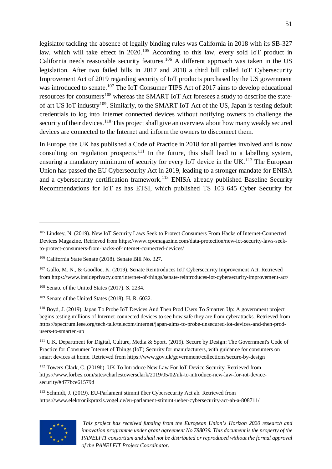legislator tackling the absence of legally binding rules was California in 2018 with its SB-327 law, which will take effect in 2020.<sup>[105](#page-50-0)</sup> According to this law, every sold IoT product in California needs reasonable security features.[106](#page-50-1) A different approach was taken in the US legislation. After two failed bills in 2017 and 2018 a third bill called IoT Cybersecurity Improvement Act of 2019 regarding security of IoT products purchased by the US government was introduced to senate.<sup>[107](#page-50-2)</sup> The IoT Consumer TIPS Act of 2017 aims to develop educational resources for consumers<sup>[108](#page-50-3)</sup> whereas the SMART IoT Act foresees a study to describe the state-of-art US IoT industry<sup>[109](#page-50-4)</sup>. Similarly, to the SMART IoT Act of the US, Japan is testing default credentials to log into Internet connected devices without notifying owners to challenge the security of their devices.<sup>[110](#page-50-5)</sup> This project shall give an overview about how many weakly secured devices are connected to the Internet and inform the owners to disconnect them.

In Europe, the UK has published a Code of Practice in 2018 for all parties involved and is now consulting on regulation prospects.<sup>[111](#page-50-6)</sup> In the future, this shall lead to a labelling system, ensuring a mandatory minimum of security for every IoT device in the UK.<sup>[112](#page-50-7)</sup> The European Union has passed the EU Cybersecurity Act in 2019, leading to a stronger mandate for ENISA and a cybersecurity certification framework.<sup>[113](#page-50-8)</sup> ENISA already published Baseline Security Recommendations for IoT as has ETSI, which published TS 103 645 Cyber Security for

<span id="page-50-8"></span><sup>113</sup> Schmidt, J. (2019). EU-Parlament stimmt über Cybersecurity Act ab. Retrieved from https://www.elektronikpraxis.vogel.de/eu-parlament-stimmt-ueber-cybersecurity-act-ab-a-808711/



 $\overline{a}$ 

<span id="page-50-0"></span><sup>105</sup> Lindsey, N. (2019). New IoT Security Laws Seek to Protect Consumers From Hacks of Internet-Connected Devices Magazine. Retrieved from https://www.cpomagazine.com/data-protection/new-iot-security-laws-seekto-protect-consumers-from-hacks-of-internet-connected-devices/

<span id="page-50-1"></span><sup>106</sup> California State Senate (2018). Senate Bill No. 327.

<span id="page-50-2"></span><sup>107</sup> Gallo, M. N., & Goodloe, K. (2019). Senate Reintroduces IoT Cybersecurity Improvement Act. Retrieved from https://www.insideprivacy.com/internet-of-things/senate-reintroduces-iot-cybersecurity-improvement-act/

<span id="page-50-3"></span><sup>108</sup> Senate of the United States (2017). S. 2234.

<span id="page-50-4"></span><sup>109</sup> Senate of the United States (2018). H. R. 6032.

<span id="page-50-5"></span><sup>110</sup> Boyd, J. (2019). Japan To Probe IoT Devices And Then Prod Users To Smarten Up: A government project begins testing millions of Internet-connected devices to see how safe they are from cyberattacks. Retrieved from https://spectrum.ieee.org/tech-talk/telecom/internet/japan-aims-to-probe-unsecured-iot-devices-and-then-produsers-to-smarten-up

<span id="page-50-6"></span><sup>111</sup> U.K. Department for Digital, Culture, Media & Sport. (2019). Secure by Design: The Government's Code of Practice for Consumer Internet of Things (IoT) Security for manufacturers, with guidance for consumers on smart devices at home. Retrieved from https://www.gov.uk/government/collections/secure-by-design

<span id="page-50-7"></span><sup>112</sup> Towers-Clark, C. (2019b). UK To Introduce New Law For IoT Device Security. Retrieved from https://www.forbes.com/sites/charlestowersclark/2019/05/02/uk-to-introduce-new-law-for-iot-devicesecurity/#477bce61579d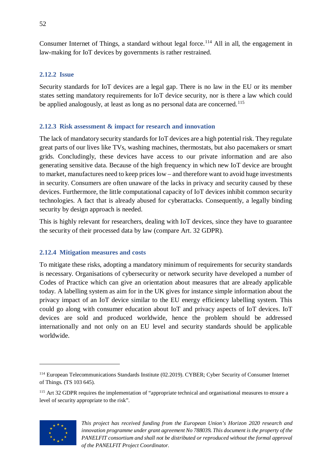Consumer Internet of Things, a standard without legal force.<sup>[114](#page-51-3)</sup> All in all, the engagement in law-making for IoT devices by governments is rather restrained.

### <span id="page-51-0"></span>**2.12.2 Issue**

Security standards for IoT devices are a legal gap. There is no law in the EU or its member states setting mandatory requirements for IoT device security, nor is there a law which could be applied analogously, at least as long as no personal data are concerned.<sup>[115](#page-51-4)</sup>

### <span id="page-51-1"></span>**2.12.3 Risk assessment & impact for research and innovation**

The lack of mandatory security standards for IoT devices are a high potential risk. They regulate great parts of our lives like TVs, washing machines, thermostats, but also pacemakers or smart grids. Concludingly, these devices have access to our private information and are also generating sensitive data. Because of the high frequency in which new IoT device are brought to market, manufactures need to keep prices low – and therefore want to avoid huge investments in security. Consumers are often unaware of the lacks in privacy and security caused by these devices. Furthermore, the little computational capacity of IoT devices inhibit common security technologies. A fact that is already abused for cyberattacks. Consequently, a legally binding security by design approach is needed.

This is highly relevant for researchers, dealing with IoT devices, since they have to guarantee the security of their processed data by law (compare Art. 32 GDPR).

# <span id="page-51-2"></span>**2.12.4 Mitigation measures and costs**

To mitigate these risks, adopting a mandatory minimum of requirements for security standards is necessary. Organisations of cybersecurity or network security have developed a number of Codes of Practice which can give an orientation about measures that are already applicable today. A labelling system as aim for in the UK gives for instance simple information about the privacy impact of an IoT device similar to the EU energy efficiency labelling system. This could go along with consumer education about IoT and privacy aspects of IoT devices. IoT devices are sold and produced worldwide, hence the problem should be addressed internationally and not only on an EU level and security standards should be applicable worldwide.

<span id="page-51-4"></span><sup>&</sup>lt;sup>115</sup> Art 32 GDPR requires the implementation of "appropriate technical and organisational measures to ensure a level of security appropriate to the risk".



<span id="page-51-3"></span><sup>114</sup> European Telecommunications Standards Institute (02.2019). CYBER; Cyber Security of Consumer Internet of Things. (TS 103 645).

*This project has received funding from the European Union's Horizon 2020 research and innovation programme under grant agreement No 788039. This document is the property of the PANELFIT consortium and shall not be distributed or reproduced without the formal approval of the PANELFIT Project Coordinator.*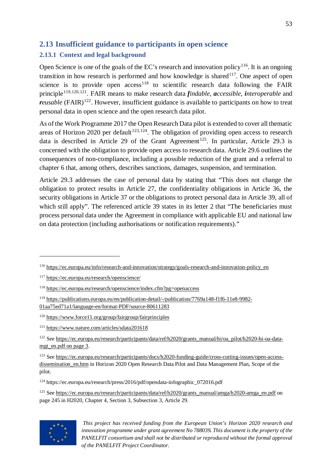# <span id="page-52-0"></span>**2.13 Insufficient guidance to participants in open science**

# <span id="page-52-1"></span>**2.13.1 Context and legal background**

Open Science is one of the goals of the EC's research and innovation policy<sup>[116](#page-52-2)</sup>. It is an ongoing transition in how research is performed and how knowledge is shared<sup>[117](#page-52-3)</sup>. One aspect of open science is to provide open  $access^{118}$  $access^{118}$  $access^{118}$  to scientific research data following the FAIR principle[119](#page-52-5),[120,](#page-52-6)[121.](#page-52-7) FAIR means to make research data *findable*, *accessible*, *interoperable* and *reusable* (FAIR)<sup>[122](#page-52-8)</sup>. However, insufficient guidance is available to participants on how to treat personal data in open science and the open research data pilot.

As of the Work Programme 2017 the Open Research Data pilot is extended to cover all thematic areas of Horizon 2020 per default<sup>[123](#page-52-9),[124](#page-52-10)</sup>. The obligation of providing open access to research data is described in Article 29 of the Grant Agreement<sup>125</sup>. In particular, Article 29.3 is concerned with the obligation to provide open access to research data. Article 29.6 outlines the consequences of non-compliance, including a possible reduction of the grant and a referral to chapter 6 that, among others, describes sanctions, damages, suspension, and termination.

Article 29.3 addresses the case of personal data by stating that "This does not change the obligation to protect results in Article 27, the confidentiality obligations in Article 36, the security obligations in Article 37 or the obligations to protect personal data in Article 39, all of which still apply". The referenced article 39 states in its letter 2 that "The beneficiaries must process personal data under the Agreement in compliance with applicable EU and national law on data protection (including authorisations or notification requirements)."

<span id="page-52-11"></span><span id="page-52-10"></span><sup>&</sup>lt;sup>125</sup> See [https://ec.europa.eu/research/participants/data/ref/h2020/grants\\_manual/amga/h2020-amga\\_en.pdf](https://ec.europa.eu/research/participants/data/ref/h2020/grants_manual/amga/h2020-amga_en.pdf) on page 245 in H2020, Chapter 4, Section 3, Subsection 3, Article 29.



 $\overline{a}$ 

<span id="page-52-2"></span><sup>116</sup> [https://ec.europa.eu/info/research-and-innovation/strategy/goals-research-and-innovation-policy\\_en](https://ec.europa.eu/info/research-and-innovation/strategy/goals-research-and-innovation-policy_en)

<span id="page-52-3"></span><sup>117</sup> <https://ec.europa.eu/research/openscience/>

<span id="page-52-4"></span><sup>118</sup> <https://ec.europa.eu/research/openscience/index.cfm?pg=openaccess>

<span id="page-52-5"></span><sup>119</sup> [https://publications.europa.eu/en/publication-detail/-/publication/7769a148-f1f6-11e8-9982-](https://publications.europa.eu/en/publication-detail/-/publication/7769a148-f1f6-11e8-9982-01aa75ed71a1/language-en/format-PDF/source-80611283) [01aa75ed71a1/language-en/format-PDF/source-80611283](https://publications.europa.eu/en/publication-detail/-/publication/7769a148-f1f6-11e8-9982-01aa75ed71a1/language-en/format-PDF/source-80611283)

<span id="page-52-6"></span><sup>120</sup> <https://www.force11.org/group/fairgroup/fairprinciples>

<span id="page-52-7"></span><sup>121</sup> <https://www.nature.com/articles/sdata201618>

<span id="page-52-8"></span><sup>&</sup>lt;sup>122</sup> See [https://ec.europa.eu/research/participants/data/ref/h2020/grants\\_manual/hi/oa\\_pilot/h2020-hi-oa-data](https://ec.europa.eu/research/participants/data/ref/h2020/grants_manual/hi/oa_pilot/h2020-hi-oa-data-mgt_en.pdf%20on%20page%203)mgt en.pdf on page 3.

<span id="page-52-9"></span><sup>123</sup> See [https://ec.europa.eu/research/participants/docs/h2020-funding-guide/cross-cutting-issues/open-access](https://ec.europa.eu/research/participants/docs/h2020-funding-guide/cross-cutting-issues/open-access-dissemination_en.htm)dissemination en.htm in Horizon 2020 Open Research Data Pilot and Data Management Plan, Scope of the pilot.

<sup>124</sup> https://ec.europa.eu/research/press/2016/pdf/opendata-infographic\_072016.pdf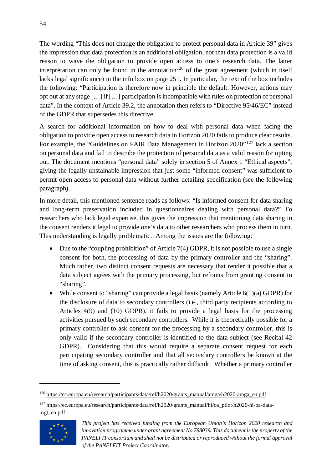The wording "This does not change the obligation to protect personal data in Article 39" gives the impression that data protection is an additional obligation, not that data protection is a valid reason to wave the obligation to provide open access to one's research data. The latter interpretation can only be found in the annotation<sup>[126](#page-53-0)</sup> of the grant agreement (which in itself lacks legal significance) in the info box on page 251. In particular, the text of the box includes the following: "Participation is therefore now in principle the default. However, actions may opt out at any stage […] if […] participation is incompatible with rules on protection of personal data". In the context of Article 39.2, the annotation then refers to "Directive 95/46/EC" instead of the GDPR that supersedes this directive.

A search for additional information on how to deal with personal data when facing the obligation to provide open access to research data in Horizon 2020 fails to produce clear results. For example, the "Guidelines on FAIR Data Management in Horizon 2020"<sup>[127](#page-53-1)</sup> lack a section on personal data and fail to describe the protection of personal data as a valid reason for opting out. The document mentions "personal data" solely in section 5 of Annex 1 "Ethical aspects", giving the legally unstainable impression that just some "informed consent" was sufficient to permit open access to personal data without further detailing specification (see the following paragraph).

In more detail, this mentioned sentence reads as follows: "Is informed consent for data sharing and long-term preservation included in questionnaires dealing with personal data?" To researchers who lack legal expertise, this gives the impression that mentioning data sharing in the consent renders it legal to provide one's data to other researchers who process them in turn. This understanding is legally problematic. Among the issues are the following:

- Due to the "coupling prohibition" of Article 7(4) GDPR, it is not possible to use a single consent for both, the processing of data by the primary controller and the "sharing". Much rather, two distinct consent requests are necessary that render it possible that a data subject agrees with the primary processing, but refrains from granting consent to "sharing".
- While consent to "sharing" can provide a legal basis (namely Article  $6(1)(a)$  GDPR) for the disclosure of data to secondary controllers (i.e., third party recipients according to Articles 4(9) and (10) GDPR), it fails to provide a legal basis for the processing activities pursued by such secondary controllers. While it is theoretically possible for a primary controller to ask consent for the processing by a secondary controller, this is only valid if the secondary controller is identified to the data subject (see Recital 42 GDPR). Considering that this would require a separate consent request for each participating secondary controller and that all secondary controllers be known at the time of asking consent, this is practically rather difficult. Whether a primary controller

<span id="page-53-1"></span><span id="page-53-0"></span><sup>&</sup>lt;sup>127</sup> [https://ec.europa.eu/research/participants/data/ref/h2020/grants\\_manual/hi/oa\\_pilot/h2020-hi-oa-data](https://ec.europa.eu/research/participants/data/ref/h2020/grants_manual/hi/oa_pilot/h2020-hi-oa-data-mgt_en.pdf)[mgt\\_en.pdf](https://ec.europa.eu/research/participants/data/ref/h2020/grants_manual/hi/oa_pilot/h2020-hi-oa-data-mgt_en.pdf)



<sup>126</sup> [https://ec.europa.eu/research/participants/data/ref/h2020/grants\\_manual/amga/h2020-amga\\_en.pdf](https://ec.europa.eu/research/participants/data/ref/h2020/grants_manual/amga/h2020-amga_en.pdf)

*This project has received funding from the European Union's Horizon 2020 research and innovation programme under grant agreement No 788039. This document is the property of the PANELFIT consortium and shall not be distributed or reproduced without the formal approval of the PANELFIT Project Coordinator.*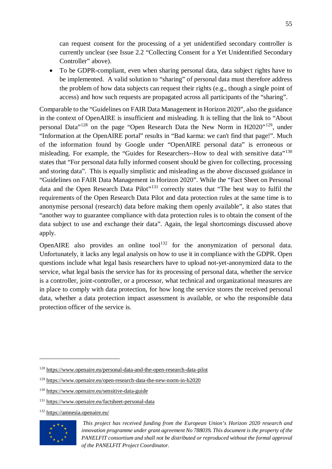can request consent for the processing of a yet unidentified secondary controller is currently unclear (see Issue 2.2 "Collecting Consent for a Yet Unidentified Secondary Controller" above).

• To be GDPR-compliant, even when sharing personal data, data subject rights have to be implemented. A valid solution to "sharing" of personal data must therefore address the problem of how data subjects can request their rights (e.g., though a single point of access) and how such requests are propagated across all participants of the "sharing".

Comparable to the "Guidelines on FAIR Data Management in Horizon 2020", also the guidance in the context of OpenAIRE is insufficient and misleading. It is telling that the link to "About personal Data"[128](#page-54-0) on the page "Open Research Data the New Norm in H2020"[129,](#page-54-1) under "Information at the OpenAIRE portal" results in "Bad karma: we can't find that page!". Much of the information found by Google under "OpenAIRE personal data" is erroneous or misleading. For example, the "Guides for Researchers--How to deal with sensitive data"<sup>[130](#page-54-2)</sup> states that "For personal data fully informed consent should be given for collecting, processing and storing data". This is equally simplistic and misleading as the above discussed guidance in "Guidelines on FAIR Data Management in Horizon 2020". While the "Fact Sheet on Personal data and the Open Research Data Pilot"[131](#page-54-3) correctly states that "The best way to fulfil the requirements of the Open Research Data Pilot and data protection rules at the same time is to anonymise personal (research) data before making them openly available", it also states that "another way to guarantee compliance with data protection rules is to obtain the consent of the data subject to use and exchange their data". Again, the legal shortcomings discussed above apply.

OpenAIRE also provides an online tool<sup>[132](#page-54-4)</sup> for the anonymization of personal data. Unfortunately, it lacks any legal analysis on how to use it in compliance with the GDPR. Open questions include what legal basis researchers have to upload not-yet-anonymized data to the service, what legal basis the service has for its processing of personal data, whether the service is a controller, joint-controller, or a processor, what technical and organizational measures are in place to comply with data protection, for how long the service stores the received personal data, whether a data protection impact assessment is available, or who the responsible data protection officer of the service is.

<span id="page-54-4"></span><sup>132</sup> <https://amnesia.openaire.eu/>



<span id="page-54-0"></span><sup>128</sup> <https://www.openaire.eu/personal-data-and-the-open-research-data-pilot>

<span id="page-54-1"></span><sup>129</sup> <https://www.openaire.eu/open-research-data-the-new-norm-in-h2020>

<span id="page-54-2"></span><sup>130</sup> <https://www.openaire.eu/sensitive-data-guide>

<span id="page-54-3"></span><sup>131</sup> <https://www.openaire.eu/factsheet-personal-data>

*This project has received funding from the European Union's Horizon 2020 research and innovation programme under grant agreement No 788039. This document is the property of the PANELFIT consortium and shall not be distributed or reproduced without the formal approval of the PANELFIT Project Coordinator.*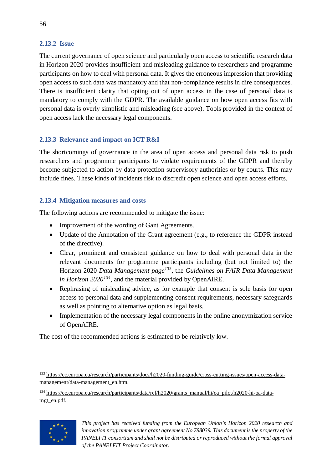#### <span id="page-55-0"></span>**2.13.2 Issue**

The current governance of open science and particularly open access to scientific research data in Horizon 2020 provides insufficient and misleading guidance to researchers and programme participants on how to deal with personal data. It gives the erroneous impression that providing open access to such data was mandatory and that non-compliance results in dire consequences. There is insufficient clarity that opting out of open access in the case of personal data is mandatory to comply with the GDPR. The available guidance on how open access fits with personal data is overly simplistic and misleading (see above). Tools provided in the context of open access lack the necessary legal components.

# <span id="page-55-1"></span>**2.13.3 Relevance and impact on ICT R&I**

The shortcomings of governance in the area of open access and personal data risk to push researchers and programme participants to violate requirements of the GDPR and thereby become subjected to action by data protection supervisory authorities or by courts. This may include fines. These kinds of incidents risk to discredit open science and open access efforts.

# <span id="page-55-2"></span>**2.13.4 Mitigation measures and costs**

The following actions are recommended to mitigate the issue:

- Improvement of the wording of Gant Agreements.
- Update of the Annotation of the Grant agreement (e.g., to reference the GDPR instead of the directive).
- Clear, prominent and consistent guidance on how to deal with personal data in the relevant documents for programme participants including (but not limited to) the Horizon 2020 *Data Management page[133](#page-55-3)*, the *Guidelines on FAIR Data Management in Horizon 2020[134](#page-55-4)*, and the material provided by OpenAIRE.
- Rephrasing of misleading advice, as for example that consent is sole basis for open access to personal data and supplementing consent requirements, necessary safeguards as well as pointing to alternative option as legal basis.
- Implementation of the necessary legal components in the online anonymization service of OpenAIRE.

The cost of the recommended actions is estimated to be relatively low.

<span id="page-55-4"></span><sup>134</sup> [https://ec.europa.eu/research/participants/data/ref/h2020/grants\\_manual/hi/oa\\_pilot/h2020-hi-oa-data](https://ec.europa.eu/research/participants/data/ref/h2020/grants_manual/hi/oa_pilot/h2020-hi-oa-data-mgt_en.pdf)[mgt\\_en.pdf.](https://ec.europa.eu/research/participants/data/ref/h2020/grants_manual/hi/oa_pilot/h2020-hi-oa-data-mgt_en.pdf)



<span id="page-55-3"></span><sup>133</sup> [https://ec.europa.eu/research/participants/docs/h2020-funding-guide/cross-cutting-issues/open-access-data](https://ec.europa.eu/research/participants/docs/h2020-funding-guide/cross-cutting-issues/open-access-data-management/data-management_en.htm)[management/data-management\\_en.htm.](https://ec.europa.eu/research/participants/docs/h2020-funding-guide/cross-cutting-issues/open-access-data-management/data-management_en.htm) 

*This project has received funding from the European Union's Horizon 2020 research and innovation programme under grant agreement No 788039. This document is the property of the PANELFIT consortium and shall not be distributed or reproduced without the formal approval of the PANELFIT Project Coordinator.*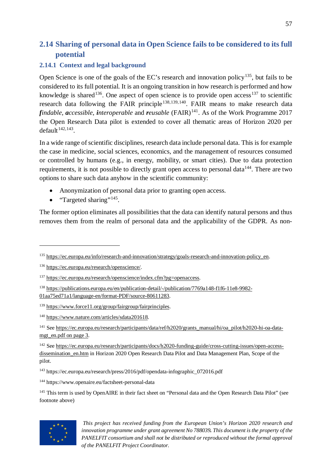# <span id="page-56-0"></span>**2.14 Sharing of personal data in Open Science fails to be considered to its full potential**

### <span id="page-56-1"></span>**2.14.1 Context and legal background**

Open Science is one of the goals of the EC's research and innovation policy<sup>135</sup>, but fails to be considered to its full potential. It is an ongoing transition in how research is performed and how knowledge is shared<sup>[136](#page-56-3)</sup>. One aspect of open science is to provide open access<sup>[137](#page-56-4)</sup> to scientific research data following the FAIR principle<sup>[138](#page-56-5)[,139,](#page-56-6)140</sup>. FAIR means to make research data *findable*, *accessible*, *interoperable* and *reusable*  $(FAIR)^{141}$  $(FAIR)^{141}$  $(FAIR)^{141}$ . As of the Work Programme 2017 the Open Research Data pilot is extended to cover all thematic areas of Horizon 2020 per default $142,143$  $142,143$ .

In a wide range of scientific disciplines, research data include personal data. This is for example the case in medicine, social sciences, economics, and the management of resources consumed or controlled by humans (e.g., in energy, mobility, or smart cities). Due to data protection requirements, it is not possible to directly grant open access to personal data<sup> $144$ </sup>. There are two options to share such data anyhow in the scientific community:

- Anonymization of personal data prior to granting open access.
- "Targeted sharing"<sup>[145](#page-56-12)</sup>.

 $\overline{a}$ 

The former option eliminates all possibilities that the data can identify natural persons and thus removes them from the realm of personal data and the applicability of the GDPR. As non-

<span id="page-56-8"></span><sup>141</sup> See [https://ec.europa.eu/research/participants/data/ref/h2020/grants\\_manual/hi/oa\\_pilot/h2020-hi-oa-data](https://ec.europa.eu/research/participants/data/ref/h2020/grants_manual/hi/oa_pilot/h2020-hi-oa-data-mgt_en.pdf%20on%20page%203)[mgt\\_en.pdf on](https://ec.europa.eu/research/participants/data/ref/h2020/grants_manual/hi/oa_pilot/h2020-hi-oa-data-mgt_en.pdf%20on%20page%203) page 3.

<span id="page-56-12"></span><span id="page-56-11"></span><sup>&</sup>lt;sup>145</sup> This term is used by OpenAIRE in their fact sheet on "Personal data and the Open Research Data Pilot" (see footnote above)



<span id="page-56-2"></span><sup>&</sup>lt;sup>135</sup> [https://ec.europa.eu/info/research-and-innovation/strategy/goals-research-and-innovation-policy\\_en.](https://ec.europa.eu/info/research-and-innovation/strategy/goals-research-and-innovation-policy_en)

<span id="page-56-3"></span><sup>136</sup> [https://ec.europa.eu/research/openscience/.](https://ec.europa.eu/research/openscience/)

<span id="page-56-4"></span><sup>137</sup> [https://ec.europa.eu/research/openscience/index.cfm?pg=openaccess.](https://ec.europa.eu/research/openscience/index.cfm?pg=openaccess)

<span id="page-56-5"></span><sup>138</sup> [https://publications.europa.eu/en/publication-detail/-/publication/7769a148-f1f6-11e8-9982-](https://publications.europa.eu/en/publication-detail/-/publication/7769a148-f1f6-11e8-9982-01aa75ed71a1/language-en/format-PDF/source-80611283) [01aa75ed71a1/language-en/format-PDF/source-80611283.](https://publications.europa.eu/en/publication-detail/-/publication/7769a148-f1f6-11e8-9982-01aa75ed71a1/language-en/format-PDF/source-80611283) 

<span id="page-56-6"></span><sup>139</sup> [https://www.force11.org/group/fairgroup/fairprinciples.](https://www.force11.org/group/fairgroup/fairprinciples)

<span id="page-56-7"></span><sup>140</sup> [https://www.nature.com/articles/sdata201618.](https://www.nature.com/articles/sdata201618)

<span id="page-56-9"></span><sup>142</sup> See [https://ec.europa.eu/research/participants/docs/h2020-funding-guide/cross-cutting-issues/open-access](https://ec.europa.eu/research/participants/docs/h2020-funding-guide/cross-cutting-issues/open-access-dissemination_en.htm)dissemination en.htm in Horizon 2020 Open Research Data Pilot and Data Management Plan, Scope of the pilot.

<span id="page-56-10"></span><sup>&</sup>lt;sup>143</sup> https://ec.europa.eu/research/press/2016/pdf/opendata-infographic\_072016.pdf

<sup>144</sup> https://www.openaire.eu/factsheet-personal-data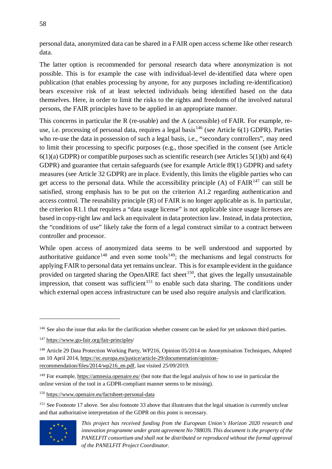personal data, anonymized data can be shared in a FAIR open access scheme like other research data.

The latter option is recommended for personal research data where anonymization is not possible. This is for example the case with individual-level de-identified data where open publication (that enables processing by anyone, for any purposes including re-identification) bears excessive risk of at least selected individuals being identified based on the data themselves. Here, in order to limit the risks to the rights and freedoms of the involved natural persons, the FAIR principles have to be applied in an appropriate manner.

This concerns in particular the R (re-usable) and the A (accessible) of FAIR. For example, re-use, i.e. processing of personal data, requires a legal basis<sup>[146](#page-57-0)</sup> (see Article  $6(1)$  GDPR). Parties who re-use the data in possession of such a legal basis, i.e., "secondary controllers", may need to limit their processing to specific purposes (e.g., those specified in the consent (see Article  $6(1)(a)$  GDPR) or compatible purposes such as scientific research (see Articles  $5(1)(b)$  and  $6(4)$ ) GDPR) and guarantee that certain safeguards (see for example Article 89(1) GDPR) and safety measures (see Article 32 GDPR) are in place. Evidently, this limits the eligible parties who can get access to the personal data. While the accessibility principle  $(A)$  of  $FAIR<sup>147</sup>$  $FAIR<sup>147</sup>$  $FAIR<sup>147</sup>$  can still be satisfied, strong emphasis has to be put on the criterion A1.2 regarding authentication and access control. The reusability principle (R) of FAIR is no longer applicable as is. In particular, the criterion R1.1 that requires a "data usage license" is not applicable since usage licenses are based in copy-right law and lack an equivalent in data protection law. Instead, in data protection, the "conditions of use" likely take the form of a legal construct similar to a contract between controller and processor.

While open access of anonymized data seems to be well understood and supported by authoritative guidance<sup>[148](#page-57-2)</sup> and even some tools<sup>149</sup>; the mechanisms and legal constructs for applying FAIR to personal data yet remains unclear. This is for example evident in the guidance provided on targeted sharing the OpenAIRE fact sheet<sup>150</sup>, that gives the legally unsustainable impression, that consent was sufficient<sup>[151](#page-57-5)</sup> to enable such data sharing. The conditions under which external open access infrastructure can be used also require analysis and clarification.

<span id="page-57-5"></span><span id="page-57-4"></span><sup>&</sup>lt;sup>151</sup> See Footnote 17 above. See also footnote 33 above that illustrates that the legal situation is currently unclear and that authoritative interpretation of the GDPR on this point is necessary.



<span id="page-57-0"></span><sup>&</sup>lt;sup>146</sup> See also the issue that asks for the clarification whether consent can be asked for yet unknown third parties.

<span id="page-57-1"></span><sup>147</sup> https://www.go-fair.org/fair-principles/

<span id="page-57-2"></span><sup>&</sup>lt;sup>148</sup> Article 29 Data Protection Working Party, WP216, Opinion 05/2014 on Anonymisation Techniques, Adopted on 10 April 2014, [https://ec.europa.eu/justice/article-29/documentation/opinion](https://ec.europa.eu/justice/article-29/documentation/opinion-recommendation/files/2014/wp216_en.pdf)[recommendation/files/2014/wp216\\_en.pdf,](https://ec.europa.eu/justice/article-29/documentation/opinion-recommendation/files/2014/wp216_en.pdf) last visited 25/09/2019.

<span id="page-57-3"></span><sup>149</sup> For example[, https://amnesia.openaire.eu/](https://amnesia.openaire.eu/) (but note that the legal analysis of how to use in particular the online version of the tool in a GDPR-compliant manner seems to be missing).

<sup>150</sup> https://www.openaire.eu/factsheet-personal-data

*This project has received funding from the European Union's Horizon 2020 research and innovation programme under grant agreement No 788039. This document is the property of the PANELFIT consortium and shall not be distributed or reproduced without the formal approval of the PANELFIT Project Coordinator.*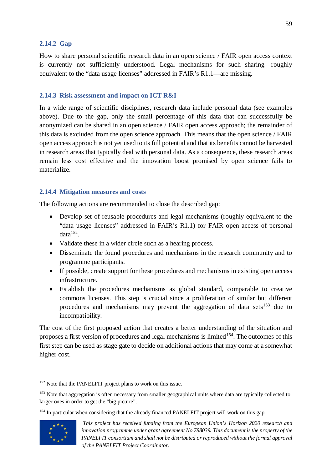#### <span id="page-58-0"></span>**2.14.2 Gap**

How to share personal scientific research data in an open science / FAIR open access context is currently not sufficiently understood. Legal mechanisms for such sharing—roughly equivalent to the "data usage licenses" addressed in FAIR's R1.1—are missing.

#### <span id="page-58-1"></span>**2.14.3 Risk assessment and impact on ICT R&I**

In a wide range of scientific disciplines, research data include personal data (see examples above). Due to the gap, only the small percentage of this data that can successfully be anonymized can be shared in an open science / FAIR open access approach; the remainder of this data is excluded from the open science approach. This means that the open science / FAIR open access approach is not yet used to its full potential and that its benefits cannot be harvested in research areas that typically deal with personal data. As a consequence, these research areas remain less cost effective and the innovation boost promised by open science fails to materialize.

#### <span id="page-58-2"></span>**2.14.4 Mitigation measures and costs**

The following actions are recommended to close the described gap:

- Develop set of reusable procedures and legal mechanisms (roughly equivalent to the "data usage licenses" addressed in FAIR's R1.1) for FAIR open access of personal  $data^{152}$  $data^{152}$  $data^{152}$ .
- Validate these in a wider circle such as a hearing process.
- Disseminate the found procedures and mechanisms in the research community and to programme participants.
- If possible, create support for these procedures and mechanisms in existing open access infrastructure.
- Establish the procedures mechanisms as global standard, comparable to creative commons licenses. This step is crucial since a proliferation of similar but different procedures and mechanisms may prevent the aggregation of data sets<sup>[153](#page-58-4)</sup> due to incompatibility.

The cost of the first proposed action that creates a better understanding of the situation and proposes a first version of procedures and legal mechanisms is limited<sup>[154](#page-58-5)</sup>. The outcomes of this first step can be used as stage gate to decide on additional actions that may come at a somewhat higher cost.

<span id="page-58-5"></span><sup>&</sup>lt;sup>154</sup> In particular when considering that the already financed PANELFIT project will work on this gap.



<span id="page-58-3"></span><sup>&</sup>lt;sup>152</sup> Note that the PANELFIT project plans to work on this issue.

<span id="page-58-4"></span><sup>&</sup>lt;sup>153</sup> Note that aggregation is often necessary from smaller geographical units where data are typically collected to larger ones in order to get the "big picture".

*This project has received funding from the European Union's Horizon 2020 research and innovation programme under grant agreement No 788039. This document is the property of the PANELFIT consortium and shall not be distributed or reproduced without the formal approval of the PANELFIT Project Coordinator.*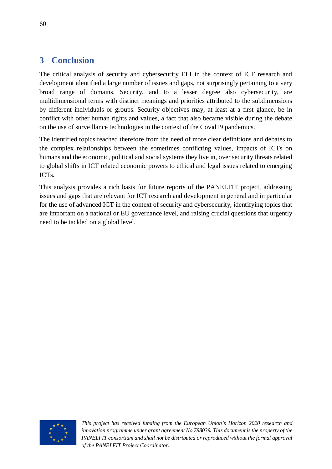# <span id="page-59-0"></span>**3 Conclusion**

The critical analysis of security and cybersecurity ELI in the context of ICT research and development identified a large number of issues and gaps, not surprisingly pertaining to a very broad range of domains. Security, and to a lesser degree also cybersecurity, are multidimensional terms with distinct meanings and priorities attributed to the subdimensions by different individuals or groups. Security objectives may, at least at a first glance, be in conflict with other human rights and values, a fact that also became visible during the debate on the use of surveillance technologies in the context of the Covid19 pandemics.

The identified topics reached therefore from the need of more clear definitions and debates to the complex relationships between the sometimes conflicting values, impacts of ICTs on humans and the economic, political and social systems they live in, over security threats related to global shifts in ICT related economic powers to ethical and legal issues related to emerging ICTs.

This analysis provides a rich basis for future reports of the PANELFIT project, addressing issues and gaps that are relevant for ICT research and development in general and in particular for the use of advanced ICT in the context of security and cybersecurity, identifying topics that are important on a national or EU governance level, and raising crucial questions that urgently need to be tackled on a global level.